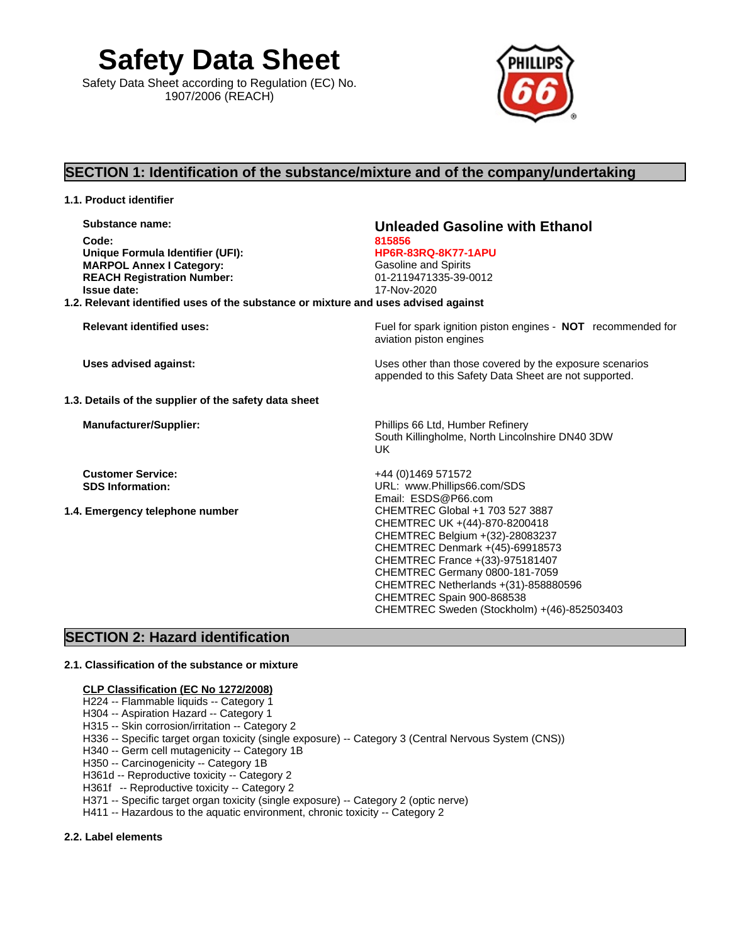**Safety Data Sheet** Safety Data Sheet according to Regulation (EC) No. 1907/2006 (REACH)



# **SECTION 1: Identification of the substance/mixture and of the company/undertaking**

| 1.1. Product identifier                                                                                                                             |                                                                                                                                                                                                                                                        |
|-----------------------------------------------------------------------------------------------------------------------------------------------------|--------------------------------------------------------------------------------------------------------------------------------------------------------------------------------------------------------------------------------------------------------|
| Substance name:<br>Code:<br>Unique Formula Identifier (UFI):<br><b>MARPOL Annex I Category:</b><br><b>REACH Registration Number:</b><br>Issue date: | Unleaded Gasoline with Ethanol<br>815856<br><b>HP6R-83RQ-8K77-1APU</b><br><b>Gasoline and Spirits</b><br>01-2119471335-39-0012<br>17-Nov-2020                                                                                                          |
| 1.2. Relevant identified uses of the substance or mixture and uses advised against                                                                  |                                                                                                                                                                                                                                                        |
| <b>Relevant identified uses:</b>                                                                                                                    | Fuel for spark ignition piston engines - NOT recommended for<br>aviation piston engines                                                                                                                                                                |
| <b>Uses advised against:</b>                                                                                                                        | Uses other than those covered by the exposure scenarios<br>appended to this Safety Data Sheet are not supported.                                                                                                                                       |
| 1.3. Details of the supplier of the safety data sheet                                                                                               |                                                                                                                                                                                                                                                        |
| <b>Manufacturer/Supplier:</b>                                                                                                                       | Phillips 66 Ltd, Humber Refinery<br>South Killingholme, North Lincolnshire DN40 3DW<br>UK.                                                                                                                                                             |
| <b>Customer Service:</b><br><b>SDS Information:</b><br>1.4. Emergency telephone number                                                              | +44 (0) 1469 571572<br>URL: www.Phillips66.com/SDS<br>Email: ESDS@P66.com<br>CHEMTREC Global +1 703 527 3887<br>CHEMTREC UK +(44)-870-8200418<br>CHEMTREC Belgium +(32)-28083237<br>CHEMTREC Denmark +(45)-69918573<br>CHEMTREC France +(33)-975181407 |
|                                                                                                                                                     | CHEMTREC Germany 0800-181-7059<br>CHEMTREC Netherlands +(31)-858880596<br>CHEMTREC Spain 900-868538<br>CHEMTREC Sweden (Stockholm) +(46)-852503403                                                                                                     |

# **SECTION 2: Hazard identification**

#### **2.1. Classification of the substance or mixture**

#### **CLP Classification (EC No 1272/2008)**

- H224 -- Flammable liquids -- Category 1
- H304 -- Aspiration Hazard -- Category 1
- H315 -- Skin corrosion/irritation -- Category 2
- H336 -- Specific target organ toxicity (single exposure) -- Category 3 (Central Nervous System (CNS))
- H340 -- Germ cell mutagenicity -- Category 1B
- H350 -- Carcinogenicity -- Category 1B
- H361d -- Reproductive toxicity --Category 2
- H361f -- Reproductive toxicity -- Category 2
- H371 -- Specific target organ toxicity (single exposure) -- Category 2 (optic nerve)
- H411 -- Hazardous to the aquatic environment, chronic toxicity -- Category 2

### **2.2. Label elements**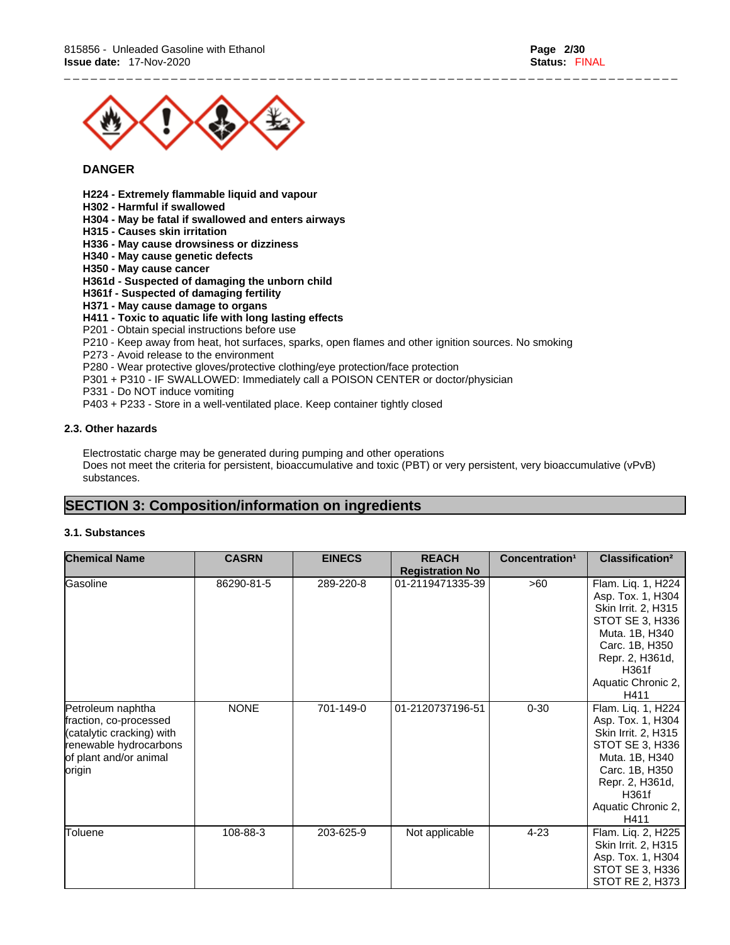

### **DANGER**

- **H224 - Extremely flammable liquid and vapour**
- **H302 - Harmful if swallowed**
- **H304 - May be fatal if swallowed and enters airways**
- **H315 - Causes skin irritation**
- **H336 - May cause drowsiness or dizziness**
- **H340 - May cause genetic defects**
- **H350 - May cause cancer**

#### **H361d - Suspected of damaging the unborn child**

- **H361f - Suspected of damaging fertility**
- **H371 - May cause damage to organs**
- **H411 - Toxic to aquatic life with long lasting effects**
- P201 Obtain special instructions before use
- P210 Keep away from heat, hot surfaces, sparks, open flames and other ignition sources. No smoking
- P273 Avoid release to the environment
- P280 Wear protective gloves/protective clothing/eye protection/face protection
- P301 + P310 IF SWALLOWED: Immediately call a POISON CENTER or doctor/physician
- P331 Do NOT induce vomiting
- P403 + P233 Store in a well-ventilated place. Keep container tightly closed

#### **2.3. Other hazards**

Electrostatic charge may be generated during pumping and other operations Does not meet the criteria for persistent, bioaccumulative and toxic (PBT) or very persistent, very bioaccumulative (vPvB) substances.

\_ \_ \_ \_ \_ \_ \_ \_ \_ \_ \_ \_ \_ \_ \_ \_ \_ \_ \_ \_ \_ \_ \_ \_ \_ \_ \_ \_ \_ \_ \_ \_ \_ \_ \_ \_ \_ \_ \_ \_ \_ \_ \_ \_ \_ \_ \_ \_ \_ \_ \_ \_ \_ \_ \_ \_ \_ \_ \_ \_ \_ \_ \_ \_ \_ \_ \_ \_ \_

# **SECTION 3: Composition/information on ingredients**

#### **3.1. Substances**

| <b>Chemical Name</b>                                                                                                                   | <b>CASRN</b> | <b>EINECS</b> | <b>REACH</b><br><b>Registration No</b> | Concentration <sup>1</sup> | Classification <sup>2</sup>                                                                                                                                                     |
|----------------------------------------------------------------------------------------------------------------------------------------|--------------|---------------|----------------------------------------|----------------------------|---------------------------------------------------------------------------------------------------------------------------------------------------------------------------------|
| Gasoline                                                                                                                               | 86290-81-5   | 289-220-8     | 01-2119471335-39                       | >60                        | Flam. Liq. 1, H224<br>Asp. Tox. 1, H304<br>Skin Irrit. 2, H315<br>STOT SE 3, H336<br>Muta. 1B, H340<br>Carc. 1B, H350<br>Repr. 2, H361d,<br>H361f<br>Aquatic Chronic 2,<br>H411 |
| Petroleum naphtha<br>fraction, co-processed<br>(catalytic cracking) with<br>renewable hydrocarbons<br>of plant and/or animal<br>origin | <b>NONE</b>  | 701-149-0     | 01-2120737196-51                       | $0 - 30$                   | Flam. Liq. 1, H224<br>Asp. Tox. 1, H304<br>Skin Irrit. 2, H315<br>STOT SE 3, H336<br>Muta. 1B, H340<br>Carc. 1B, H350<br>Repr. 2, H361d,<br>H361f<br>Aquatic Chronic 2,<br>H411 |
| Toluene                                                                                                                                | 108-88-3     | 203-625-9     | Not applicable                         | $4 - 23$                   | Flam. Liq. 2, H225<br>Skin Irrit. 2, H315<br>Asp. Tox. 1, H304<br>STOT SE 3, H336<br>STOT RE 2, H373                                                                            |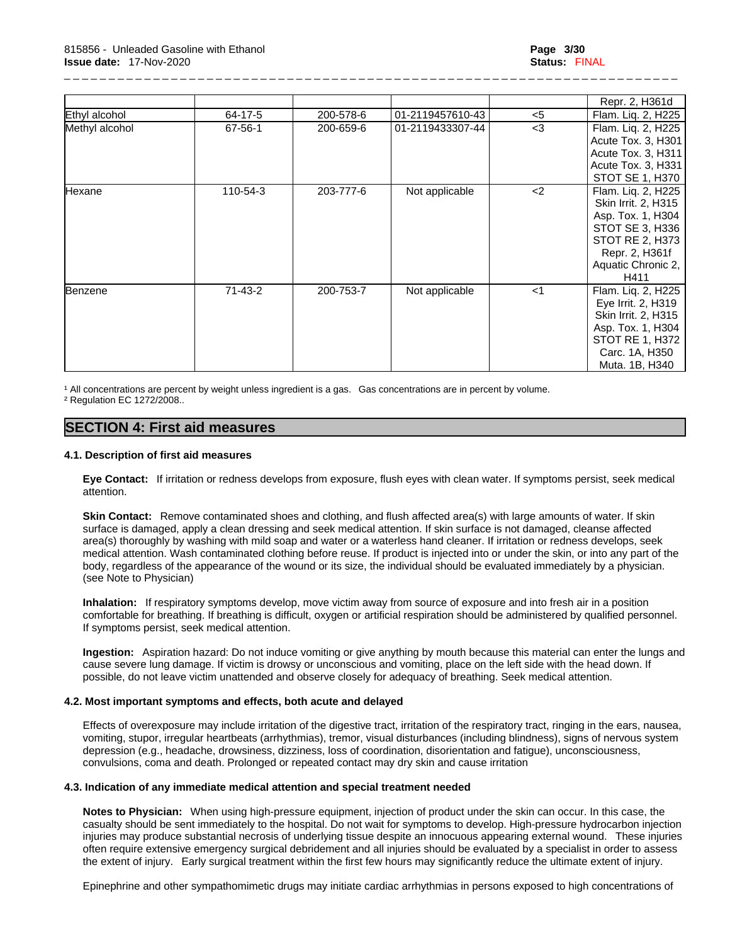|                |               |           |                  |       | Repr. 2, H361d                                                                                                                                       |
|----------------|---------------|-----------|------------------|-------|------------------------------------------------------------------------------------------------------------------------------------------------------|
| Ethyl alcohol  | 64-17-5       | 200-578-6 | 01-2119457610-43 | $<$ 5 | Flam. Liq. 2, H225                                                                                                                                   |
| Methyl alcohol | 67-56-1       | 200-659-6 | 01-2119433307-44 | $3$   | Flam. Liq. 2, H225<br>Acute Tox. 3, H301                                                                                                             |
|                |               |           |                  |       | Acute Tox. 3, H311                                                                                                                                   |
|                |               |           |                  |       | Acute Tox. 3, H331                                                                                                                                   |
|                |               |           |                  |       | STOT SE 1, H370                                                                                                                                      |
| Hexane         | 110-54-3      | 203-777-6 | Not applicable   | $2$   | Flam. Liq. 2, H225<br>Skin Irrit. 2, H315<br>Asp. Tox. 1, H304<br>STOT SE 3, H336<br>STOT RE 2, H373<br>Repr. 2, H361f<br>Aquatic Chronic 2,<br>H411 |
| Benzene        | $71 - 43 - 2$ | 200-753-7 | Not applicable   | $<$ 1 | Flam. Liq. 2, H225<br>Eye Irrit. 2, H319<br>Skin Irrit. 2, H315<br>Asp. Tox. 1, H304<br>STOT RE 1, H372<br>Carc. 1A, H350<br>Muta. 1B, H340          |

<sup>1</sup> All concentrations are percent by weight unless ingredient is a gas. Gas concentrations are in percent by volume.

² Regulation EC 1272/2008..

## **SECTION 4: First aid measures**

#### **4.1. Description of first aid measures**

**Eye Contact:** If irritation or redness develops from exposure, flush eyes with clean water. If symptoms persist, seek medical attention.

**Skin Contact:** Remove contaminated shoes and clothing, and flush affected area(s) with large amounts of water. If skin surface is damaged, apply a clean dressing and seek medical attention. If skin surface is not damaged, cleanse affected area(s) thoroughly by washing with mild soap and water or a waterless hand cleaner. If irritation or redness develops, seek medical attention. Wash contaminated clothing before reuse. If product is injected into or under the skin, or into any part of the body, regardless of the appearance of the wound or its size, the individual should be evaluated immediately by a physician. (see Note to Physician)

**Inhalation:** If respiratory symptoms develop, move victim away from source of exposure and into fresh air in a position comfortable for breathing. If breathing is difficult, oxygen or artificial respiration should be administered by qualified personnel. If symptoms persist, seek medical attention.

**Ingestion:** Aspiration hazard: Do not induce vomiting or give anything by mouth because this material can enter the lungs and cause severe lung damage. If victim is drowsy or unconscious and vomiting, place on the left side with the head down. If possible, do not leave victim unattended and observe closely for adequacy of breathing. Seek medical attention.

#### **4.2. Most important symptoms and effects, both acute and delayed**

Effects of overexposure may include irritation of the digestive tract, irritation of the respiratory tract, ringing in the ears, nausea, vomiting, stupor, irregular heartbeats (arrhythmias), tremor, visual disturbances (including blindness), signs of nervous system depression (e.g., headache, drowsiness, dizziness, loss of coordination, disorientation and fatigue), unconsciousness, convulsions, coma and death. Prolonged or repeated contact may dry skin and cause irritation

#### **4.3. Indication of any immediate medical attention and special treatment needed**

**Notes to Physician:** When using high-pressure equipment, injection of product under the skin can occur. In this case, the casualty should be sent immediately to the hospital. Do not wait for symptoms to develop. High-pressure hydrocarbon injection injuries may produce substantial necrosis of underlying tissue despite an innocuous appearing external wound. These injuries often require extensive emergency surgical debridement and all injuries should be evaluated by a specialist in order to assess the extent of injury. Early surgical treatment within the first few hours may significantly reduce the ultimate extent of injury.

Epinephrine and other sympathomimetic drugs may initiate cardiac arrhythmias in persons exposed to high concentrations of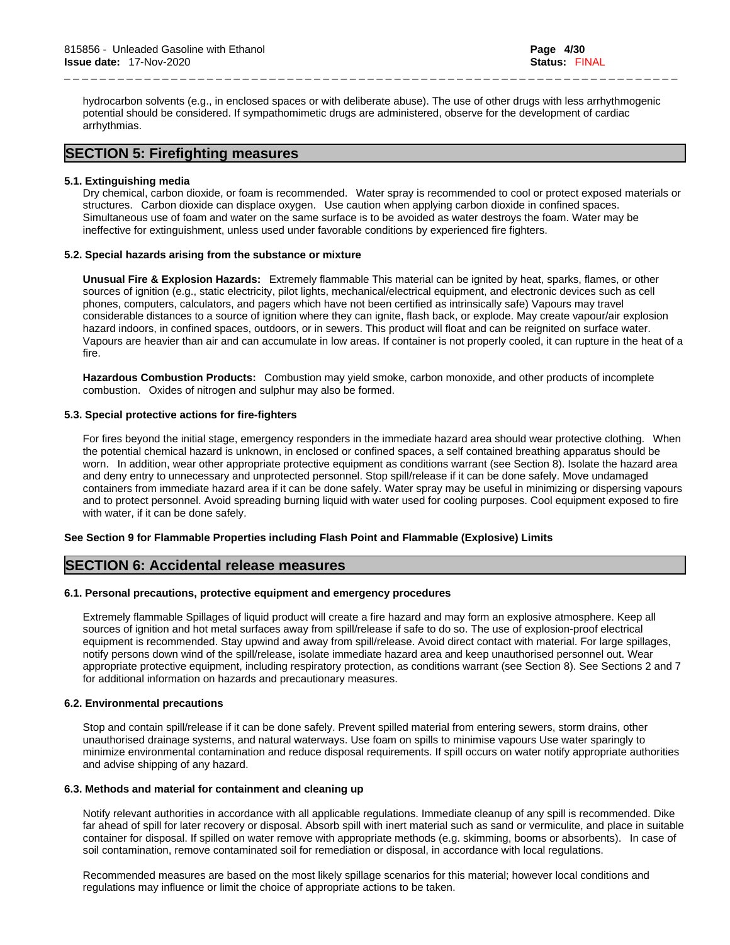hydrocarbon solvents (e.g., in enclosed spaces or with deliberate abuse). The use of other drugs with less arrhythmogenic potential should be considered. If sympathomimetic drugs are administered, observe for the development of cardiac arrhythmias.

\_ \_ \_ \_ \_ \_ \_ \_ \_ \_ \_ \_ \_ \_ \_ \_ \_ \_ \_ \_ \_ \_ \_ \_ \_ \_ \_ \_ \_ \_ \_ \_ \_ \_ \_ \_ \_ \_ \_ \_ \_ \_ \_ \_ \_ \_ \_ \_ \_ \_ \_ \_ \_ \_ \_ \_ \_ \_ \_ \_ \_ \_ \_ \_ \_ \_ \_ \_ \_

# **SECTION 5: Firefighting measures**

#### **5.1. Extinguishing media**

Dry chemical, carbon dioxide, or foam is recommended. Water spray is recommended to cool or protect exposed materials or structures. Carbon dioxide can displace oxygen. Use caution when applying carbon dioxide in confined spaces. Simultaneous use of foam and water on the same surface isto be avoided as water destroys the foam. Water may be ineffective for extinguishment, unless used under favorable conditions by experienced fire fighters.

#### **5.2. Special hazards arising from the substance or mixture**

**Unusual Fire & Explosion Hazards:** Extremely flammable This material can be ignited by heat, sparks, flames, or other sources of ignition (e.g., static electricity, pilot lights, mechanical/electrical equipment, and electronic devices such as cell phones, computers, calculators, and pagers which have not been certified as intrinsically safe) Vapours may travel considerable distances to a source of ignition where they can ignite, flash back, or explode. May create vapour/air explosion hazard indoors, in confined spaces, outdoors, or in sewers. This product willfloat and can be reignited on surface water. Vapours are heavier than air and can accumulate in low areas. If container is not properly cooled, it can rupture in the heat of a fire.

**Hazardous Combustion Products:** Combustion may yield smoke, carbon monoxide, and other products of incomplete combustion. Oxides of nitrogen and sulphur may also be formed.

#### **5.3. Special protective actions for fire-fighters**

For fires beyond the initial stage, emergency responders in the immediate hazard area should wear protective clothing. When the potential chemical hazard is unknown, in enclosed or confined spaces, a self contained breathing apparatus should be worn. In addition, wear other appropriate protective equipment as conditions warrant (see Section 8). Isolate the hazard area and deny entry to unnecessary and unprotected personnel. Stop spill/release if it can be done safely. Move undamaged containers from immediate hazard area if it can be done safely. Water spray may be useful in minimizing or dispersing vapours and to protect personnel. Avoid spreading burning liquid with water used for cooling purposes. Cool equipment exposed to fire with water, if it can be done safely.

#### **See Section 9 for Flammable Properties including Flash Point and Flammable (Explosive) Limits**

### **SECTION 6: Accidental release measures**

#### **6.1. Personal precautions, protective equipment and emergency procedures**

Extremely flammable Spillages of liquid product will create a fire hazard and may form an explosive atmosphere. Keep all sources of ignition and hot metal surfaces away from spill/release if safe to do so. The use of explosion-proof electrical equipment is recommended. Stay upwind and away from spill/release. Avoid direct contact with material. For large spillages, notify persons down wind of the spill/release, isolate immediate hazard area and keep unauthorised personnel out. Wear appropriate protective equipment, including respiratory protection, as conditions warrant (see Section 8). See Sections 2 and 7 for additional information on hazards and precautionary measures.

#### **6.2. Environmental precautions**

Stop and contain spill/release if it can be done safely. Prevent spilled material from entering sewers, storm drains, other unauthorised drainage systems, and natural waterways. Use foam on spills to minimise vapours Use water sparingly to minimize environmental contamination and reduce disposal requirements. If spill occurs on water notify appropriate authorities and advise shipping of any hazard.

#### **6.3. Methods and material for containment and cleaning up**

Notify relevant authorities in accordance with all applicable regulations. Immediate cleanup of any spill is recommended. Dike far ahead of spill for later recovery or disposal. Absorb spill with inert material such as sand or vermiculite, and place in suitable container for disposal. If spilled on water remove with appropriate methods (e.g. skimming, booms or absorbents). In case of soil contamination, remove contaminated soil for remediation or disposal, in accordance with local regulations.

Recommended measures are based on the most likely spillage scenarios for this material; however local conditions and regulations may influence or limit the choice of appropriate actions to be taken.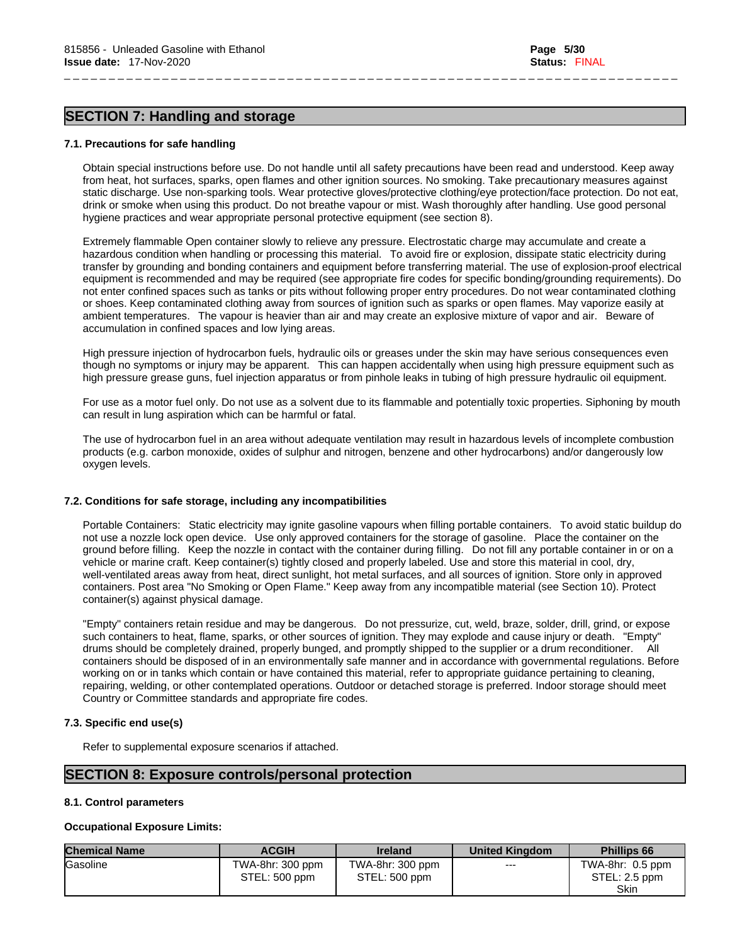# **SECTION 7: Handling and storage**

## **7.1. Precautions for safe handling**

Obtain special instructions before use. Do not handle until all safety precautions have been read and understood. Keep away from heat, hot surfaces, sparks, open flames and other ignition sources. No smoking. Take precautionary measures against static discharge. Use non-sparking tools. Wear protective gloves/protective clothing/eye protection/face protection. Do not eat, drink or smoke when using this product. Do not breathe vapour or mist. Wash thoroughly after handling. Use good personal hygiene practices and wear appropriate personal protective equipment (see section 8).

\_ \_ \_ \_ \_ \_ \_ \_ \_ \_ \_ \_ \_ \_ \_ \_ \_ \_ \_ \_ \_ \_ \_ \_ \_ \_ \_ \_ \_ \_ \_ \_ \_ \_ \_ \_ \_ \_ \_ \_ \_ \_ \_ \_ \_ \_ \_ \_ \_ \_ \_ \_ \_ \_ \_ \_ \_ \_ \_ \_ \_ \_ \_ \_ \_ \_ \_ \_ \_

Extremely flammable Open container slowly to relieve any pressure. Electrostatic charge may accumulate and create a hazardous condition when handling or processing this material. To avoid fire or explosion, dissipate static electricity during transfer by grounding and bonding containers and equipment before transferring material. The use of explosion-proof electrical equipment is recommended and may be required (see appropriate fire codes for specific bonding/grounding requirements). Do not enter confined spaces such as tanks or pits without following proper entry procedures. Do not wear contaminated clothing or shoes. Keep contaminated clothing away from sources of ignition such as sparks or open flames. May vaporize easily at ambient temperatures. The vapour is heavier than air and may create an explosive mixture of vapor and air. Beware of accumulation in confined spaces and low lying areas.

High pressure injection of hydrocarbon fuels, hydraulic oils or greases under the skin may have serious consequences even though no symptoms or injury may be apparent. This can happen accidentally when using high pressure equipment such as high pressure grease guns, fuel injection apparatus or from pinhole leaks in tubing of high pressure hydraulic oil equipment.

For use as a motor fuel only. Do not use as a solvent due to its flammable and potentially toxic properties. Siphoning by mouth can result in lung aspiration which can be harmful or fatal.

The use of hydrocarbon fuel in an area without adequate ventilation may result in hazardous levels of incomplete combustion products (e.g. carbon monoxide, oxides of sulphur and nitrogen, benzene and other hydrocarbons) and/or dangerously low oxygen levels.

# **7.2. Conditions for safe storage, including any incompatibilities**

Portable Containers: Static electricity may ignite gasoline vapours when filling portable containers. To avoid static buildup do not use a nozzle lock open device. Use only approved containers for the storage of gasoline. Place the container on the ground before filling. Keep the nozzle in contact with the container during filling. Do not fill any portable container in or on a vehicle or marine craft. Keep container(s) tightly closed and properly labeled. Use and store this material in cool, dry, well-ventilated areas away from heat, direct sunlight, hot metal surfaces, and all sources of ignition. Store only in approved containers. Post area "No Smoking or Open Flame." Keep away from any incompatible material (see Section 10). Protect container(s) against physical damage.

"Empty" containers retain residue and may be dangerous. Do not pressurize, cut, weld, braze, solder, drill, grind, or expose such containers to heat, flame, sparks, or other sources of ignition. They may explode and cause injury or death. "Empty" drums should be completely drained, properly bunged, and promptly shipped to the supplier or a drum reconditioner. All containers should be disposed of in an environmentally safe manner and in accordance with governmental regulations. Before working on or in tanks which contain or have contained this material, refer to appropriate guidance pertaining to cleaning, repairing, welding, or other contemplated operations. Outdoor or detached storage is preferred. Indoor storage should meet Country or Committee standards and appropriate fire codes.

# **7.3. Specific end use(s)**

Refer to supplemental exposure scenarios if attached.

# **SECTION 8: Exposure controls/personal protection**

# **8.1. Control parameters**

# **Occupational Exposure Limits:**

| <b>Chemical Name</b> | <b>ACGIH</b>                      | <b>Ireland</b>                    | <b>United Kingdom</b> | <b>Phillips 66</b>                                 |
|----------------------|-----------------------------------|-----------------------------------|-----------------------|----------------------------------------------------|
| <b>Gasoline</b>      | TWA-8hr: 300 ppm<br>STEL: 500 ppm | TWA-8hr: 300 ppm<br>STEL: 500 ppm | $---$                 | TWA-8hr: 0.5 ppm<br>$STEL: 2.5$ ppm<br><b>Skin</b> |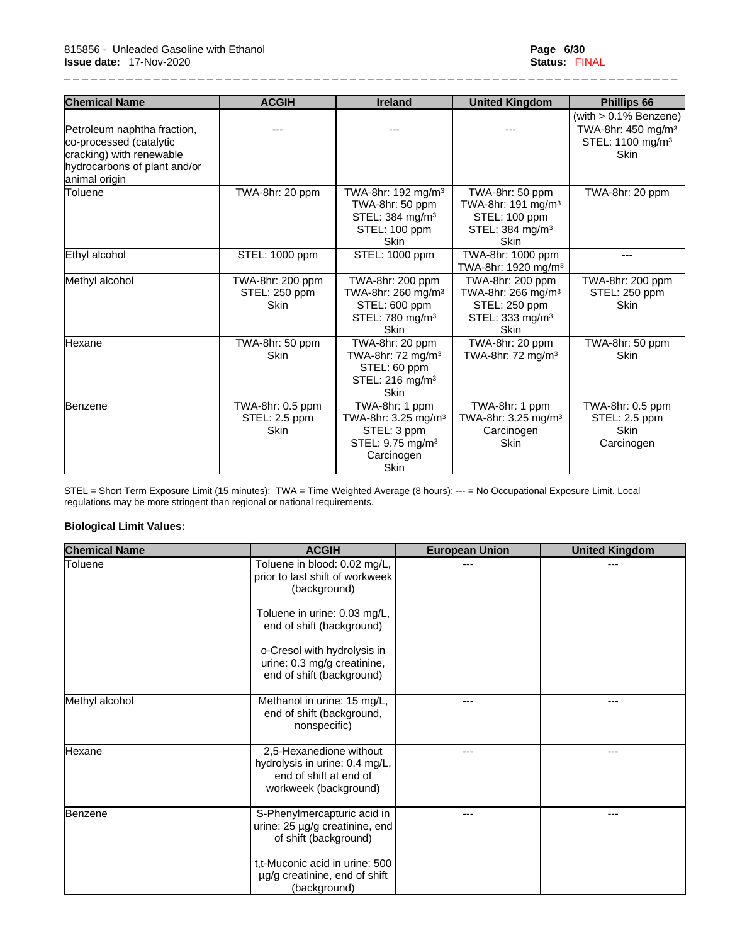| <b>Chemical Name</b>                                                               | <b>ACGIH</b>                                     | <b>Ireland</b>                                                                                                                | <b>United Kingdom</b>                                                                                            | <b>Phillips 66</b>                                                            |
|------------------------------------------------------------------------------------|--------------------------------------------------|-------------------------------------------------------------------------------------------------------------------------------|------------------------------------------------------------------------------------------------------------------|-------------------------------------------------------------------------------|
|                                                                                    |                                                  |                                                                                                                               |                                                                                                                  | (with $> 0.1\%$ Benzene)                                                      |
| Petroleum naphtha fraction,<br>co-processed (catalytic<br>cracking) with renewable | $---$                                            | $---$                                                                                                                         | ---                                                                                                              | TWA-8hr: 450 mg/m <sup>3</sup><br>STEL: 1100 mg/m <sup>3</sup><br><b>Skin</b> |
| hydrocarbons of plant and/or<br>animal origin                                      |                                                  |                                                                                                                               |                                                                                                                  |                                                                               |
| <b>Toluene</b>                                                                     | TWA-8hr: 20 ppm                                  | TWA-8hr: 192 mg/m <sup>3</sup><br>TWA-8hr: 50 ppm<br>STEL: 384 mg/m <sup>3</sup><br>STEL: 100 ppm<br><b>Skin</b>              | TWA-8hr: 50 ppm<br>TWA-8hr: 191 mg/m <sup>3</sup><br>STEL: 100 ppm<br>STEL: 384 mg/m <sup>3</sup><br><b>Skin</b> | TWA-8hr: 20 ppm                                                               |
| Ethyl alcohol                                                                      | STEL: 1000 ppm                                   | STEL: 1000 ppm                                                                                                                | TWA-8hr: 1000 ppm<br>TWA-8hr: 1920 mg/m <sup>3</sup>                                                             | ---                                                                           |
| Methyl alcohol                                                                     | TWA-8hr: 200 ppm<br>STEL: 250 ppm<br><b>Skin</b> | TWA-8hr: 200 ppm<br>TWA-8hr: 260 mg/m <sup>3</sup><br>STEL: 600 ppm<br>STEL: 780 mg/m <sup>3</sup><br>Skin                    | TWA-8hr: 200 ppm<br>TWA-8hr: 266 mg/m $3$<br>STEL: 250 ppm<br>STEL: 333 mg/m <sup>3</sup><br><b>Skin</b>         | TWA-8hr: 200 ppm<br>STEL: 250 ppm<br><b>Skin</b>                              |
| lHexane                                                                            | TWA-8hr: 50 ppm<br><b>Skin</b>                   | TWA-8hr: 20 ppm<br>TWA-8hr: $72 \text{ mg/m}^3$<br>STEL: 60 ppm<br>STEL: 216 mg/m <sup>3</sup><br><b>Skin</b>                 | TWA-8hr: 20 ppm<br>TWA-8hr: $72 \text{ ma/m}^3$                                                                  | TWA-8hr: 50 ppm<br><b>Skin</b>                                                |
| Benzene                                                                            | TWA-8hr: 0.5 ppm<br>STEL: 2.5 ppm<br><b>Skin</b> | TWA-8hr: 1 ppm<br>TWA-8hr: 3.25 mg/m <sup>3</sup><br>STEL: 3 ppm<br>STEL: 9.75 mg/m <sup>3</sup><br>Carcinogen<br><b>Skin</b> | TWA-8hr: 1 ppm<br>TWA-8hr: 3.25 mg/m <sup>3</sup><br>Carcinogen<br><b>Skin</b>                                   | TWA-8hr: 0.5 ppm<br>STEL: 2.5 ppm<br><b>Skin</b><br>Carcinogen                |

STEL = Short Term Exposure Limit (15 minutes); TWA = Time Weighted Average (8 hours); --- = No Occupational Exposure Limit. Local regulations may be more stringent than regional or national requirements.

### **Biological Limit Values:**

| <b>Chemical Name</b> | <b>ACGIH</b>                                                                                                                                                                                                                            | <b>European Union</b> | <b>United Kingdom</b> |
|----------------------|-----------------------------------------------------------------------------------------------------------------------------------------------------------------------------------------------------------------------------------------|-----------------------|-----------------------|
| Toluene              | Toluene in blood: 0.02 mg/L,<br>prior to last shift of workweek<br>(background)<br>Toluene in urine: 0.03 mg/L,<br>end of shift (background)<br>o-Cresol with hydrolysis in<br>urine: 0.3 mg/g creatinine,<br>end of shift (background) | ---                   | ---                   |
| Methyl alcohol       | Methanol in urine: 15 mg/L,<br>end of shift (background,<br>nonspecific)                                                                                                                                                                | ---                   | ---                   |
| Hexane               | 2,5-Hexanedione without<br>hydrolysis in urine: 0.4 mg/L,<br>end of shift at end of<br>workweek (background)                                                                                                                            | ---                   | ---                   |
| Benzene              | S-Phenylmercapturic acid in<br>urine: 25 µg/g creatinine, end<br>of shift (background)<br>t,t-Muconic acid in urine: 500<br>µg/g creatinine, end of shift<br>(background)                                                               | ---                   | ---                   |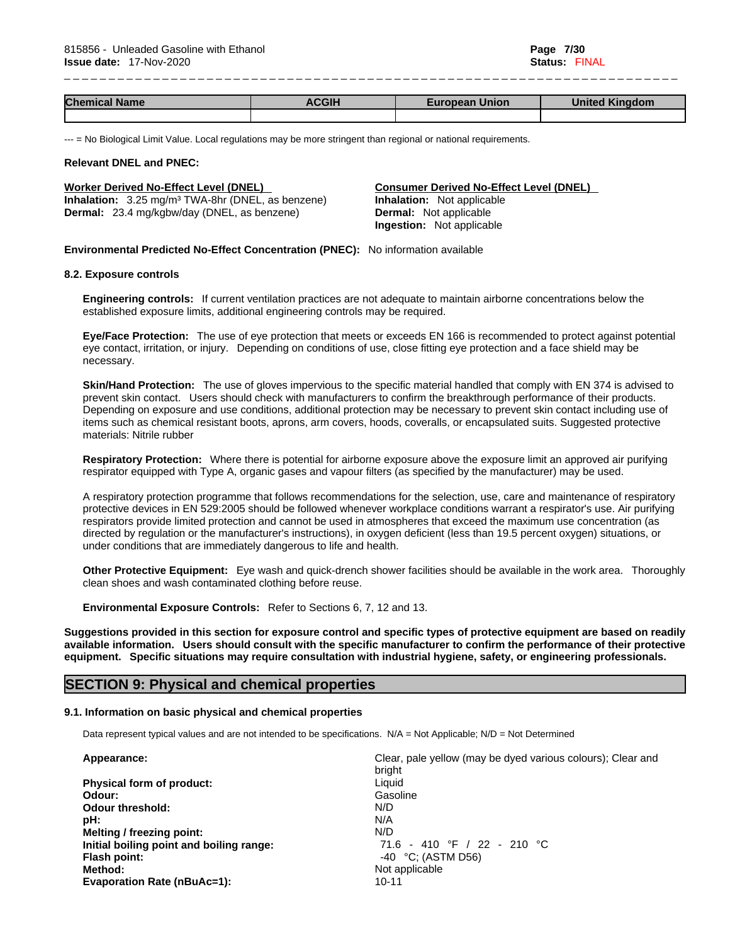| <b>Chemical</b><br><b>Name</b> | $\sim$<br>אופ∽ | <b>Union</b><br>ean<br>-- | ---<br>--<br>Kinggon.<br>JNK |
|--------------------------------|----------------|---------------------------|------------------------------|
|                                |                |                           |                              |

--- = No Biological Limit Value. Local regulations may be more stringent than regional or national requirements.

#### **Relevant DNEL and PNEC:**

**Inhalation:** 3.25 mg/m³ TWA-8hr (DNEL, as benzene) **Inhalation:** Not applicable **Dermal:** 23.4 mg/kgbw/day (DNEL, as benzene) **Dermal:** Not applicable

**Worker Derived No-Effect Level (DNEL) Consumer Derived No-Effect Level (DNEL) Ingestion:** Not applicable

**Environmental Predicted No-Effect Concentration (PNEC):** No information available

#### **8.2. Exposure controls**

**Engineering controls:** If current ventilation practices are not adequate to maintain airborne concentrations below the established exposure limits, additional engineering controls may be required.

**Eye/Face Protection:** The use of eye protection that meets or exceeds EN 166 isrecommended to protect against potential eye contact, irritation, or injury. Depending on conditions of use, close fitting eye protection and a face shield may be necessary.

**Skin/Hand Protection:** The use of gloves impervious to the specific material handled that comply with EN 374 is advised to prevent skin contact. Users should check with manufacturers to confirm the breakthrough performance of their products. Depending on exposure and use conditions, additional protection may be necessary to prevent skin contact including use of items such as chemical resistant boots, aprons, arm covers, hoods, coveralls, or encapsulated suits. Suggested protective materials: Nitrile rubber

**Respiratory Protection:** Where there is potential for airborne exposure above the exposure limit an approved air purifying respirator equipped with Type A, organic gases and vapour filters (as specified by the manufacturer) may be used.

A respiratory protection programme that follows recommendations for the selection, use, care and maintenance of respiratory protective devices in EN 529:2005 should be followed whenever workplace conditions warrant a respirator's use. Air purifying respirators provide limited protection and cannot be used in atmospheres that exceed the maximum use concentration (as directed by regulation or the manufacturer's instructions), in oxygen deficient (less than 19.5 percent oxygen) situations, or under conditions that are immediately dangerous to life and health.

**Other Protective Equipment:** Eye wash and quick-drench shower facilities should be available in the work area. Thoroughly clean shoes and wash contaminated clothing before reuse.

**Environmental Exposure Controls:** Refer to Sections 6, 7, 12 and 13.

Suggestions provided in this section for exposure control and specific types of protective equipment are based on readily available information. Users should consult with the specific manufacturer to confirm the performance of their protective **equipment. Specific situations may require consultation with industrial hygiene, safety, or engineering professionals.**

### **SECTION 9: Physical and chemical properties**

#### **9.1. Information on basic physical and chemical properties**

Data represent typical values and are not intended to be specifications. N/A = Not Applicable: N/D = Not Determined

| Clear, pale yellow (may be dyed various colours); Clear and<br>bright |  |
|-----------------------------------------------------------------------|--|
| Liquid                                                                |  |
| Gasoline                                                              |  |
| N/D                                                                   |  |
| N/A                                                                   |  |
| N/D                                                                   |  |
| 410 °F / 22 - 210 °C<br>71.6 -                                        |  |
| $-40$ °C; (ASTM D56)                                                  |  |
| Not applicable                                                        |  |
| $10 - 11$                                                             |  |
|                                                                       |  |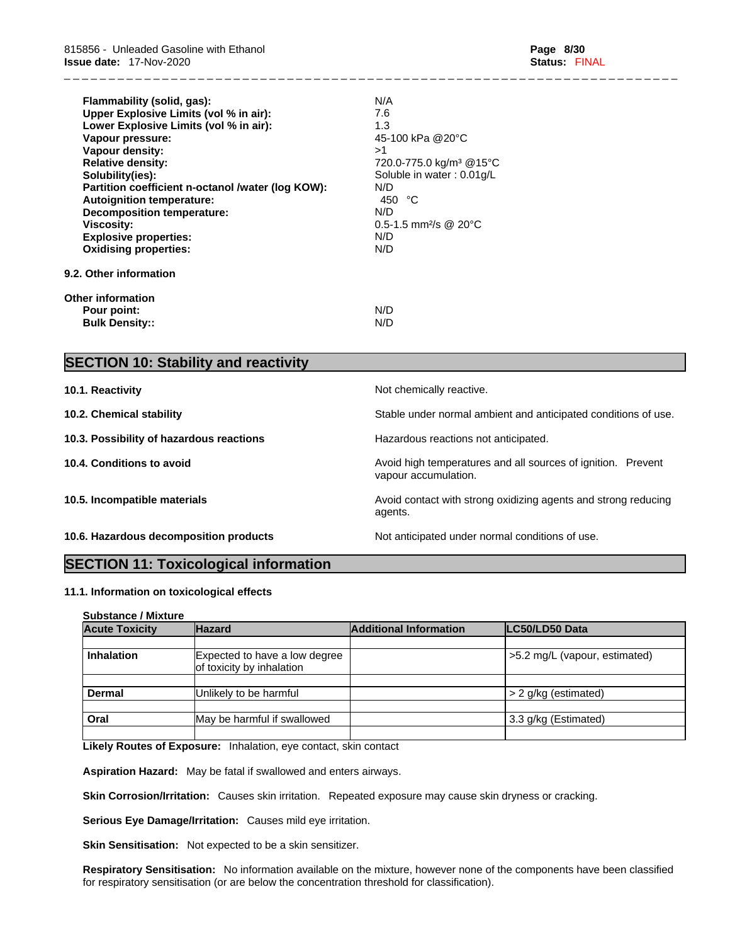| Flammability (solid, gas):                        | N/A                                    |  |
|---------------------------------------------------|----------------------------------------|--|
| Upper Explosive Limits (vol % in air):            | 7.6                                    |  |
| Lower Explosive Limits (vol % in air):            | 1.3                                    |  |
| Vapour pressure:                                  | 45-100 kPa @20°C                       |  |
| <b>Vapour density:</b>                            | >1                                     |  |
| <b>Relative density:</b>                          | 720.0-775.0 kg/m <sup>3</sup> @15°C    |  |
| Solubility(ies):                                  | Soluble in water: 0.01g/L              |  |
| Partition coefficient n-octanol /water (log KOW): | N/D                                    |  |
| <b>Autoignition temperature:</b>                  | °C<br>450                              |  |
| <b>Decomposition temperature:</b>                 | N/D                                    |  |
| <b>Viscosity:</b>                                 | $0.5 - 1.5$ mm <sup>2</sup> /s @ 20 °C |  |
| <b>Explosive properties:</b>                      | N/D                                    |  |
| <b>Oxidising properties:</b>                      | N/D                                    |  |
| 9.2. Other information                            |                                        |  |
| <b>Other information</b>                          |                                        |  |
| Pour point:                                       | N/D                                    |  |
| <b>Bulk Density::</b>                             | N/D                                    |  |

| <b>SECTION 10: Stability and reactivity</b> |                                                                                      |
|---------------------------------------------|--------------------------------------------------------------------------------------|
| 10.1. Reactivity                            | Not chemically reactive.                                                             |
| 10.2. Chemical stability                    | Stable under normal ambient and anticipated conditions of use.                       |
| 10.3. Possibility of hazardous reactions    | Hazardous reactions not anticipated.                                                 |
| 10.4. Conditions to avoid                   | Avoid high temperatures and all sources of ignition. Prevent<br>vapour accumulation. |
| 10.5. Incompatible materials                | Avoid contact with strong oxidizing agents and strong reducing<br>agents.            |
| 10.6. Hazardous decomposition products      | Not anticipated under normal conditions of use.                                      |

# **SECTION 11: Toxicological information**

#### **11.1. Information on toxicologicaleffects**

| <b>Substance / Mixture</b> |                                                            |                               |                               |
|----------------------------|------------------------------------------------------------|-------------------------------|-------------------------------|
| <b>Acute Toxicity</b>      | <b>Hazard</b>                                              | <b>Additional Information</b> | LC50/LD50 Data                |
|                            |                                                            |                               |                               |
| <b>Inhalation</b>          | Expected to have a low degree<br>of toxicity by inhalation |                               | >5.2 mg/L (vapour, estimated) |
|                            |                                                            |                               |                               |
| <b>Dermal</b>              | Unlikely to be harmful                                     |                               | > 2 g/kg (estimated)          |
| Oral                       | May be harmful if swallowed                                |                               | 3.3 g/kg (Estimated)          |
|                            |                                                            |                               |                               |

**Likely Routes of Exposure:** Inhalation, eye contact, skin contact

**Aspiration Hazard:** May be fatal if swallowed and enters airways.

**Skin Corrosion/Irritation:** Causes skin irritation. Repeated exposure may cause skin dryness or cracking.

**Serious Eye Damage/Irritation:** Causes mild eye irritation.

**Skin Sensitisation:** Not expected to be a skin sensitizer.

**Respiratory Sensitisation:** No information available on the mixture, however none of the components have been classified for respiratory sensitisation (or are below the concentration threshold for classification).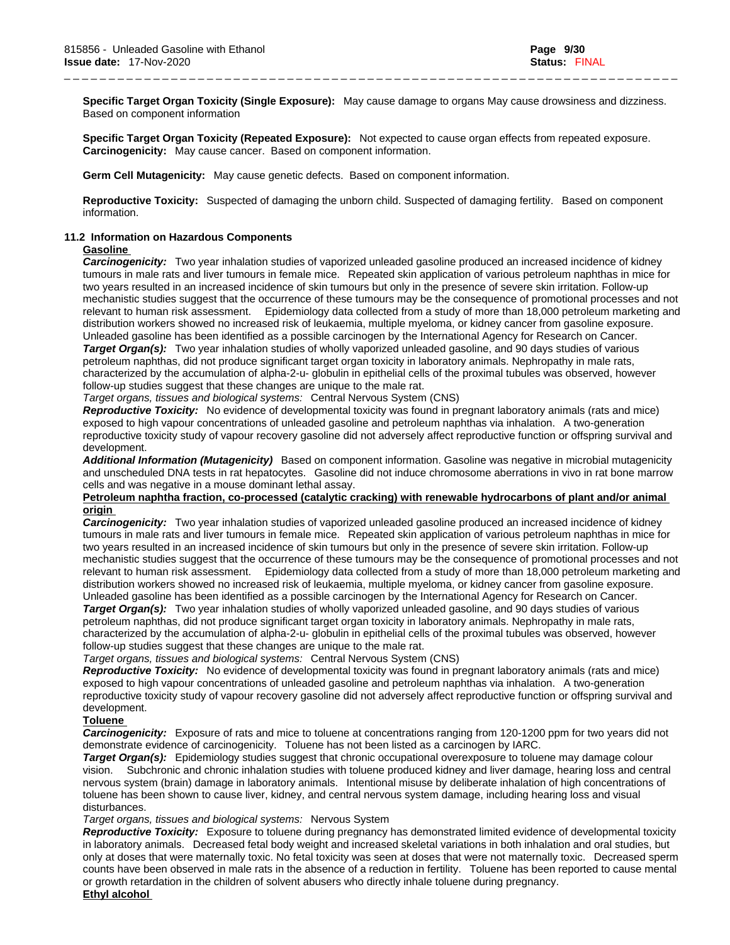**Specific Target Organ Toxicity (Single Exposure):** May cause damage to organs May cause drowsiness and dizziness. Based on component information

\_ \_ \_ \_ \_ \_ \_ \_ \_ \_ \_ \_ \_ \_ \_ \_ \_ \_ \_ \_ \_ \_ \_ \_ \_ \_ \_ \_ \_ \_ \_ \_ \_ \_ \_ \_ \_ \_ \_ \_ \_ \_ \_ \_ \_ \_ \_ \_ \_ \_ \_ \_ \_ \_ \_ \_ \_ \_ \_ \_ \_ \_ \_ \_ \_ \_ \_ \_ \_

**Specific Target Organ Toxicity (Repeated Exposure):** Not expected to cause organ effects from repeated exposure. **Carcinogenicity:** May cause cancer. Based on component information.

**Germ Cell Mutagenicity:** May cause genetic defects. Based on component information.

**Reproductive Toxicity:** Suspected of damaging the unborn child. Suspected of damaging fertility. Based on component information.

#### **11.2 Information on Hazardous Components**

### **Gasoline**

*Carcinogenicity:* Two year inhalation studies of vaporized unleaded gasoline produced an increased incidence of kidney tumours in male rats and liver tumours in female mice. Repeated skin application of various petroleum naphthas in mice for two years resulted in an increased incidence of skin tumours but only in the presence of severe skin irritation. Follow-up mechanistic studies suggest that the occurrence of these tumours may be the consequence of promotional processes and not relevant to human risk assessment. Epidemiology data collected from a study of more than 18,000 petroleum marketing and distribution workers showed no increased risk of leukaemia, multiple myeloma, or kidney cancer from gasoline exposure. Unleaded gasoline has been identified as a possible carcinogen by the International Agency for Research on Cancer. *Target Organ(s):* Two year inhalation studies of wholly vaporized unleaded gasoline, and 90 days studies of various petroleum naphthas, did not produce significant target organ toxicity in laboratory animals. Nephropathy in male rats, characterized by the accumulation of alpha-2-u- globulin in epithelial cells of the proximal tubules was observed, however follow-up studies suggest that these changes are unique to the male rat.

*Target organs, tissues and biological systems:* Central Nervous System (CNS)

*Reproductive Toxicity:* No evidence of developmental toxicity was found in pregnantlaboratory animals (rats and mice) exposed to high vapour concentrations of unleaded gasoline and petroleum naphthas via inhalation. A two-generation reproductive toxicity study of vapour recovery gasoline did not adversely affect reproductive function or offspring survival and development.

*Additional Information (Mutagenicity)* Based on component information. Gasoline was negative in microbial mutagenicity and unscheduled DNA tests in rat hepatocytes. Gasoline did not induce chromosome aberrations in vivo in rat bone marrow cells and was negative in a mouse dominant lethal assay.

#### **Petroleum naphtha fraction, co-processed (catalytic cracking) with renewable hydrocarbons of plant and/or animal origin**

*Carcinogenicity:* Two year inhalation studies of vaporized unleaded gasoline produced an increased incidence of kidney tumours in male rats and liver tumours in female mice. Repeated skin application of various petroleum naphthas in mice for two years resulted in an increased incidence of skin tumours but only in the presence of severe skin irritation. Follow-up mechanistic studies suggest that the occurrence of these tumours may be the consequence of promotional processes and not relevant to human risk assessment. Epidemiology data collected from a study of more than 18,000 petroleum marketing and distribution workers showed no increased risk of leukaemia, multiple myeloma, or kidney cancer from gasoline exposure. Unleaded gasoline has been identified as a possible carcinogen by the International Agency for Research on Cancer. *Target Organ(s):* Two year inhalation studies of wholly vaporized unleaded gasoline, and 90 days studies of various petroleum naphthas, did not produce significant target organ toxicity in laboratory animals. Nephropathy in male rats, characterized by the accumulation of alpha-2-u- globulin in epithelial cells of the proximal tubules was observed, however follow-up studies suggest that these changes are unique to the male rat.

*Target organs, tissues and biological systems:* Central Nervous System (CNS)

*Reproductive Toxicity:* No evidence of developmental toxicity was found in pregnantlaboratory animals (rats and mice) exposed to high vapour concentrations of unleaded gasoline and petroleum naphthas via inhalation. A two-generation reproductive toxicity study of vapour recovery gasoline did not adversely affect reproductive function or offspring survival and development.

#### **Toluene**

*Carcinogenicity:* Exposure of rats and mice to toluene at concentrations ranging from 120-1200 ppm for two years did not demonstrate evidence of carcinogenicity. Toluene has not been listed as a carcinogen by IARC.

*Target Organ(s):* Epidemiology studies suggest that chronic occupational overexposure to toluene may damage colour vision. Subchronic and chronic inhalation studies with toluene produced kidney and liver damage, hearing loss and central nervous system (brain) damage in laboratory animals. Intentional misuse by deliberate inhalation of high concentrations of toluene has been shown to cause liver, kidney, and central nervous system damage, including hearing loss and visual disturbances.

*Target organs, tissues and biological systems:* Nervous System

*Reproductive Toxicity:* Exposure to toluene during pregnancy has demonstrated limited evidence of developmental toxicity in laboratory animals. Decreased fetal body weight and increased skeletal variations in both inhalation and oral studies, but only at doses that were maternally toxic. No fetal toxicity was seen at doses that were not maternally toxic. Decreased sperm counts have been observed in male rats in the absence of a reduction in fertility. Toluene has been reported to cause mental or growth retardation in the children of solvent abusers who directly inhale toluene during pregnancy.**Ethyl alcohol**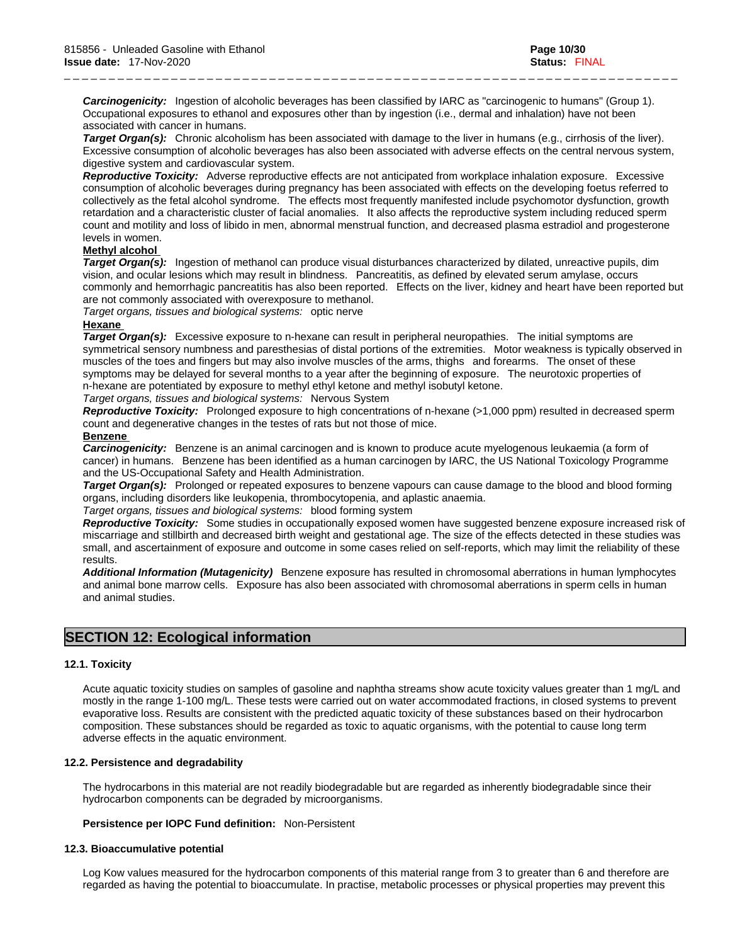*Carcinogenicity:* Ingestion of alcoholic beverages has been classified by IARC as "carcinogenic to humans" (Group 1). Occupational exposures to ethanol and exposures other than by ingestion (i.e., dermal and inhalation) have not been associated with cancer in humans.

*Target Organ(s):* Chronic alcoholism has been associated with damage to the liver in humans (e.g., cirrhosis of the liver). Excessive consumption of alcoholic beverages has also been associated with adverse effects on the central nervous system, digestive system and cardiovascular system.

\_ \_ \_ \_ \_ \_ \_ \_ \_ \_ \_ \_ \_ \_ \_ \_ \_ \_ \_ \_ \_ \_ \_ \_ \_ \_ \_ \_ \_ \_ \_ \_ \_ \_ \_ \_ \_ \_ \_ \_ \_ \_ \_ \_ \_ \_ \_ \_ \_ \_ \_ \_ \_ \_ \_ \_ \_ \_ \_ \_ \_ \_ \_ \_ \_ \_ \_ \_ \_

*Reproductive Toxicity:* Adverse reproductive effects are not anticipated from workplace inhalation exposure. Excessive consumption of alcoholic beverages during pregnancy has been associated with effects on the developing foetus referred to collectively as the fetal alcohol syndrome. The effects most frequently manifested include psychomotor dysfunction, growth retardation and a characteristic cluster of facial anomalies. It also affects the reproductive system including reduced sperm count and motility and loss of libido in men, abnormal menstrual function, and decreased plasma estradiol and progesterone levels in women.

#### **Methyl alcohol**

*Target Organ(s):* Ingestion of methanol can produce visual disturbances characterized by dilated, unreactive pupils, dim vision, and ocular lesions which may result in blindness. Pancreatitis, as defined by elevated serum amylase, occurs commonly and hemorrhagic pancreatitis has also been reported. Effects on the liver, kidney and heart have been reported but are not commonly associated with overexposure to methanol.

*Target organs, tissues and biological systems:* optic nerve

#### **Hexane**

*Target Organ(s):* Excessive exposure to n-hexane can result in peripheral neuropathies. The initial symptoms are symmetrical sensory numbness and paresthesias of distal portions of the extremities. Motor weakness is typically observed in muscles of the toes and fingers but may also involve muscles of the arms, thighs and forearms. The onset of these symptoms may be delayed for several months to a year after the beginning of exposure. The neurotoxic properties of n-hexane are potentiated by exposure to methyl ethyl ketone and methyl isobutyl ketone.

*Target organs, tissues and biological systems:* Nervous System

*Reproductive Toxicity:* Prolonged exposure to high concentrations of n-hexane (>1,000 ppm) resulted in decreased sperm count and degenerative changes in the testes of rats but not those of mice.

#### **Benzene**

*Carcinogenicity:* Benzene is an animal carcinogen and is known to produce acute myelogenous leukaemia (a form of cancer) in humans. Benzene has been identified as a human carcinogen by IARC, the US National Toxicology Programme and the US-Occupational Safety and Health Administration.

*Target Organ(s):* Prolonged or repeated exposures to benzene vapours can cause damage to the blood and blood forming organs, including disorders like leukopenia, thrombocytopenia, and aplastic anaemia.

#### *Target organs, tissues and biological systems:* blood forming system

*Reproductive Toxicity:* Some studies in occupationally exposed women have suggested benzene exposure increased risk of miscarriage and stillbirth and decreased birth weight and gestational age. The size of the effects detected in these studies was small, and ascertainment of exposure and outcome in some cases relied on self-reports, which may limit the reliability of these results.

*Additional Information (Mutagenicity)* Benzene exposure has resulted in chromosomal aberrations in human lymphocytes and animal bone marrow cells. Exposure has also been associated with chromosomal aberrations in sperm cells in human and animal studies.

### **SECTION 12: Ecological information**

#### **12.1. Toxicity**

Acute aquatic toxicity studies on samples of gasoline and naphtha streams show acute toxicity values greater than 1 mg/L and mostly in the range 1-100 mg/L. These tests were carried out on water accommodated fractions, in closed systems to prevent evaporative loss. Results are consistent with the predicted aquatic toxicity of these substances based on their hydrocarbon composition. These substances should be regarded as toxic to aquatic organisms, with the potential to cause long term adverse effects in the aquatic environment.

#### **12.2. Persistence and degradability**

The hydrocarbons in this material are not readily biodegradable but are regarded as inherently biodegradable since their hydrocarbon components can be degraded by microorganisms.

#### **Persistence per IOPC Fund definition:** Non-Persistent

#### **12.3. Bioaccumulative potential**

Log Kow values measured for the hydrocarbon components of this material range from 3 to greater than 6 and therefore are regarded as having the potential to bioaccumulate. In practise, metabolic processes or physical properties may prevent this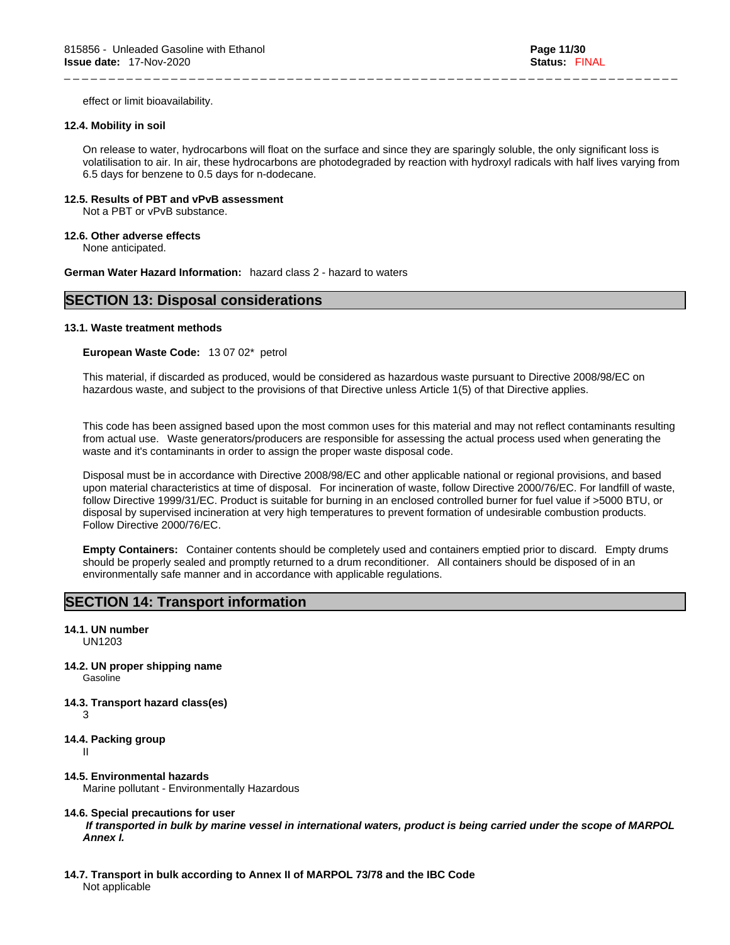effect or limit bioavailability.

### **12.4. Mobility in soil**

On release to water, hydrocarbons will float on the surface and since they are sparingly soluble, the only significant loss is volatilisation to air. In air, these hydrocarbons are photodegraded by reaction with hydroxyl radicals with half lives varying from 6.5 days for benzene to 0.5 days for n-dodecane.

\_ \_ \_ \_ \_ \_ \_ \_ \_ \_ \_ \_ \_ \_ \_ \_ \_ \_ \_ \_ \_ \_ \_ \_ \_ \_ \_ \_ \_ \_ \_ \_ \_ \_ \_ \_ \_ \_ \_ \_ \_ \_ \_ \_ \_ \_ \_ \_ \_ \_ \_ \_ \_ \_ \_ \_ \_ \_ \_ \_ \_ \_ \_ \_ \_ \_ \_ \_ \_

### **12.5. Results of PBT and vPvB assessment**

Not a PBT or vPvB substance.

**12.6. Other adverse effects**

None anticipated.

**German Water Hazard Information:** hazard class 2 - hazard to waters

# **SECTION 13: Disposal considerations**

### **13.1. Waste treatment methods**

**European Waste Code:** 13 07 02\* petrol

This material, if discarded as produced, would be considered as hazardous waste pursuant to Directive 2008/98/EC on hazardous waste, and subject to the provisions of that Directive unless Article 1(5) of that Directive applies.

This code has been assigned based upon the most common uses for this material and may not reflect contaminants resulting from actual use. Waste generators/producers are responsible for assessing the actual process used when generating the waste and it's contaminants in order to assign the proper waste disposal code.

Disposal must be in accordance with Directive 2008/98/EC and other applicable national or regional provisions, and based upon material characteristics at time of disposal. For incineration of waste, follow Directive 2000/76/EC. For landfill of waste, follow Directive 1999/31/EC. Product is suitable for burning in an enclosed controlled burner for fuel value if >5000 BTU, or disposal by supervised incineration at very high temperatures to prevent formation of undesirable combustion products. Follow Directive 2000/76/EC.

**Empty Containers:** Container contents should be completely used and containers emptied prior to discard. Empty drums should be properly sealed and promptly returned to a drum reconditioner. All containers should be disposed of in an environmentally safe manner and in accordance with applicable regulations.

# **SECTION 14: Transport information**

#### **14.1. UN number**  UN1203

- 
- **14.2. UN proper shipping name**  Gasoline
- **14.3. Transport hazard class(es)**  3
	-
- **14.4. Packing group**

II and a strong strong

**14.5. Environmental hazards**  Marine pollutant - Environmentally Hazardous

#### **14.6. Special precautions for user**

 *If transported in bulk by marine vessel in international waters, product is being carried under the scope of MARPOL Annex I.*

**14.7. Transport in bulk according to Annex II of MARPOL 73/78 and the IBC Code** Not applicable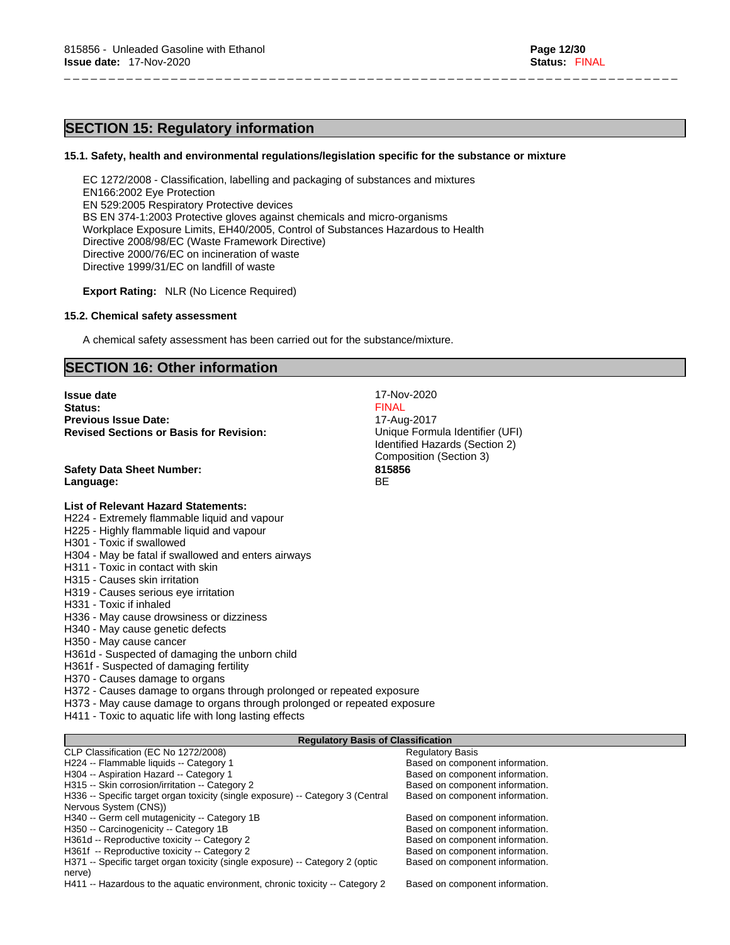# **SECTION 15: Regulatory information**

#### **15.1. Safety, health and environmental regulations/legislation specific for the substance or mixture**

\_ \_ \_ \_ \_ \_ \_ \_ \_ \_ \_ \_ \_ \_ \_ \_ \_ \_ \_ \_ \_ \_ \_ \_ \_ \_ \_ \_ \_ \_ \_ \_ \_ \_ \_ \_ \_ \_ \_ \_ \_ \_ \_ \_ \_ \_ \_ \_ \_ \_ \_ \_ \_ \_ \_ \_ \_ \_ \_ \_ \_ \_ \_ \_ \_ \_ \_ \_ \_

EC 1272/2008 - Classification, labelling and packaging of substances and mixtures EN166:2002 Eye Protection EN 529:2005 Respiratory Protective devices BS EN 374-1:2003 Protective gloves against chemicals and micro-organisms Workplace Exposure Limits, EH40/2005, Control of Substances Hazardous to Health Directive 2008/98/EC (Waste Framework Directive) Directive 2000/76/EC on incineration of waste Directive 1999/31/EC on landfill of waste

**Export Rating:** NLR (No Licence Required)

#### **15.2. Chemical safety assessment**

A chemical safety assessment has been carried out for the substance/mixture.

**Previous Issue Date:**<br> **Revised Sections or Basis for Revision:** 17-Aug-2017<br>
Unique Formula Identifier (UFI)

**Issue date** 17-Nov-2020<br> **Issue date** 17-Nov-2020<br> **ISSUE 2020 Status:** The contract of the contract of the contract of the contract of the contract of the contract of the contract of the contract of the contract of the contract of the contract of the contract of the contract of the

# **SECTION 16: Other information**

**Revised Sections or Basis for Revision:** 

| <b>Safety Data Sheet Number:</b><br>Language:                                              | Identified Hazards (Section 2)<br>Composition (Section 3)<br>815856<br><b>BE</b> |
|--------------------------------------------------------------------------------------------|----------------------------------------------------------------------------------|
| <b>List of Relevant Hazard Statements:</b>                                                 |                                                                                  |
| H224 - Extremely flammable liquid and vapour                                               |                                                                                  |
| H225 - Highly flammable liquid and vapour                                                  |                                                                                  |
| H301 - Toxic if swallowed                                                                  |                                                                                  |
| H304 - May be fatal if swallowed and enters airways                                        |                                                                                  |
| H311 - Toxic in contact with skin                                                          |                                                                                  |
| H315 - Causes skin irritation                                                              |                                                                                  |
| H319 - Causes serious eye irritation                                                       |                                                                                  |
| H331 - Toxic if inhaled                                                                    |                                                                                  |
| H336 - May cause drowsiness or dizziness                                                   |                                                                                  |
| H340 - May cause genetic defects<br>H350 - May cause cancer                                |                                                                                  |
| H361d - Suspected of damaging the unborn child                                             |                                                                                  |
| H361f - Suspected of damaging fertility                                                    |                                                                                  |
| H370 - Causes damage to organs                                                             |                                                                                  |
| H372 - Causes damage to organs through prolonged or repeated exposure                      |                                                                                  |
| H373 - May cause damage to organs through prolonged or repeated exposure                   |                                                                                  |
| H411 - Toxic to aquatic life with long lasting effects                                     |                                                                                  |
|                                                                                            |                                                                                  |
| <b>Regulatory Basis of Classification</b>                                                  |                                                                                  |
| CLP Classification (EC No 1272/2008)                                                       | <b>Regulatory Basis</b>                                                          |
| H224 -- Flammable liquids -- Category 1                                                    | Based on component information.                                                  |
| H304 -- Aspiration Hazard -- Category 1<br>H315 -- Skin corrosion/irritation -- Category 2 | Based on component information.<br>Based on component information.               |
| H336 -- Specific target organ toxicity (single exposure) -- Category 3 (Central            | Based on component information.                                                  |
| Nervous System (CNS))                                                                      |                                                                                  |
| H340 -- Germ cell mutagenicity -- Category 1B                                              | Based on component information.                                                  |
| H350 -- Carcinogenicity -- Category 1B                                                     | Based on component information.                                                  |
| H361d -- Reproductive toxicity -- Category 2                                               | Based on component information.                                                  |
| H361f -- Reproductive toxicity -- Category 2                                               | Based on component information.                                                  |
| H371 -- Specific target organ toxicity (single exposure) -- Category 2 (optic              | Based on component information.                                                  |
| nerve)<br>H411 -- Hazardous to the aquatic environment, chronic toxicity -- Category 2     | Based on component information.                                                  |
|                                                                                            |                                                                                  |
|                                                                                            |                                                                                  |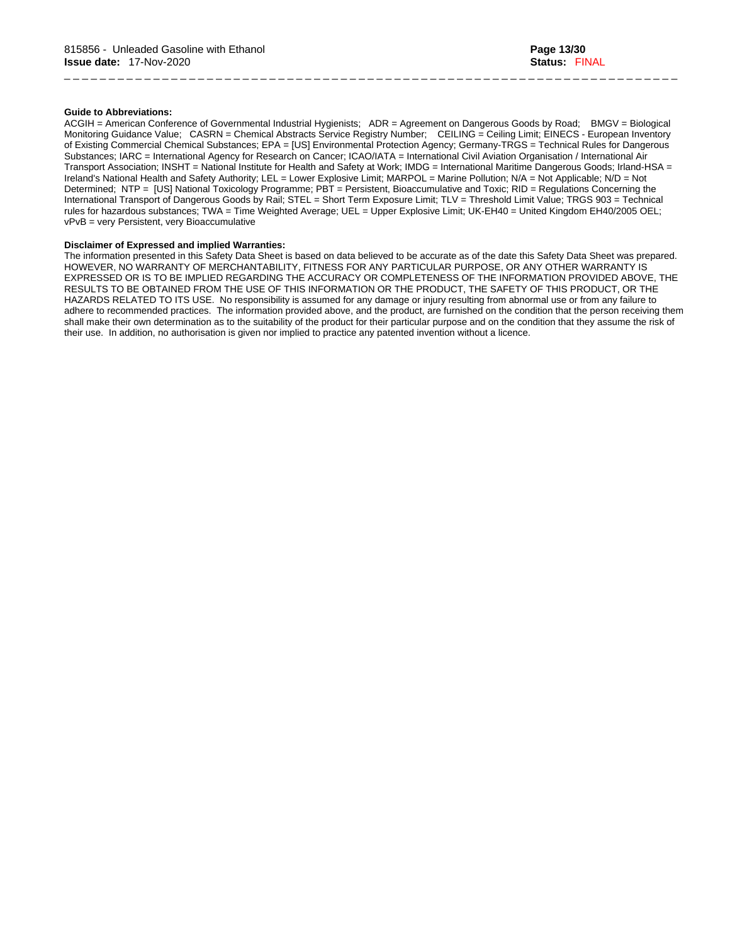#### **Guide to Abbreviations:**

ACGIH = American Conference of Governmental Industrial Hygienists; ADR = Agreement on Dangerous Goods by Road; BMGV = Biological Monitoring Guidance Value; CASRN = Chemical Abstracts Service Registry Number; CEILING = Ceiling Limit; EINECS - European Inventory of Existing Commercial Chemical Substances; EPA = [US] Environmental Protection Agency; Germany-TRGS = Technical Rules for Dangerous Substances; IARC = International Agency for Research on Cancer; ICAO/IATA = International Civil Aviation Organisation / International Air Transport Association; INSHT = National Institute for Health and Safety at Work; IMDG = International Maritime Dangerous Goods; Irland-HSA = Ireland's National Health and Safety Authority; LEL = Lower Explosive Limit; MARPOL = Marine Pollution; N/A = Not Applicable; N/D = Not Determined; NTP = [US] National Toxicology Programme; PBT = Persistent, Bioaccumulative and Toxic; RID = Regulations Concerning the International Transport of Dangerous Goods by Rail; STEL = Short Term Exposure Limit; TLV = Threshold Limit Value; TRGS 903 = Technical rules for hazardous substances; TWA = Time Weighted Average; UEL = Upper Explosive Limit; UK-EH40 = United Kingdom EH40/2005 OEL; vPvB = very Persistent, very Bioaccumulative

\_ \_ \_ \_ \_ \_ \_ \_ \_ \_ \_ \_ \_ \_ \_ \_ \_ \_ \_ \_ \_ \_ \_ \_ \_ \_ \_ \_ \_ \_ \_ \_ \_ \_ \_ \_ \_ \_ \_ \_ \_ \_ \_ \_ \_ \_ \_ \_ \_ \_ \_ \_ \_ \_ \_ \_ \_ \_ \_ \_ \_ \_ \_ \_ \_ \_ \_ \_ \_

#### **Disclaimer of Expressed and implied Warranties:**

The information presented in this Safety Data Sheet is based on data believed to be accurate as of the date this Safety Data Sheet was prepared. HOWEVER, NO WARRANTY OF MERCHANTABILITY, FITNESS FOR ANY PARTICULAR PURPOSE, OR ANY OTHER WARRANTY IS EXPRESSED OR IS TO BE IMPLIED REGARDING THE ACCURACY OR COMPLETENESS OF THE INFORMATION PROVIDED ABOVE, THE RESULTS TO BE OBTAINED FROM THE USE OF THIS INFORMATION OR THE PRODUCT, THE SAFETY OF THIS PRODUCT, OR THE HAZARDS RELATED TO ITS USE. No responsibility is assumed for any damage or injury resulting from abnormal use or from any failure to adhere to recommended practices. The information provided above, and the product, are furnished on the condition that the person receiving them shall make their own determination as to the suitability of the product for their particular purpose and on the condition that they assume the risk of their use. In addition, no authorisation is given nor implied to practice any patented invention without a licence.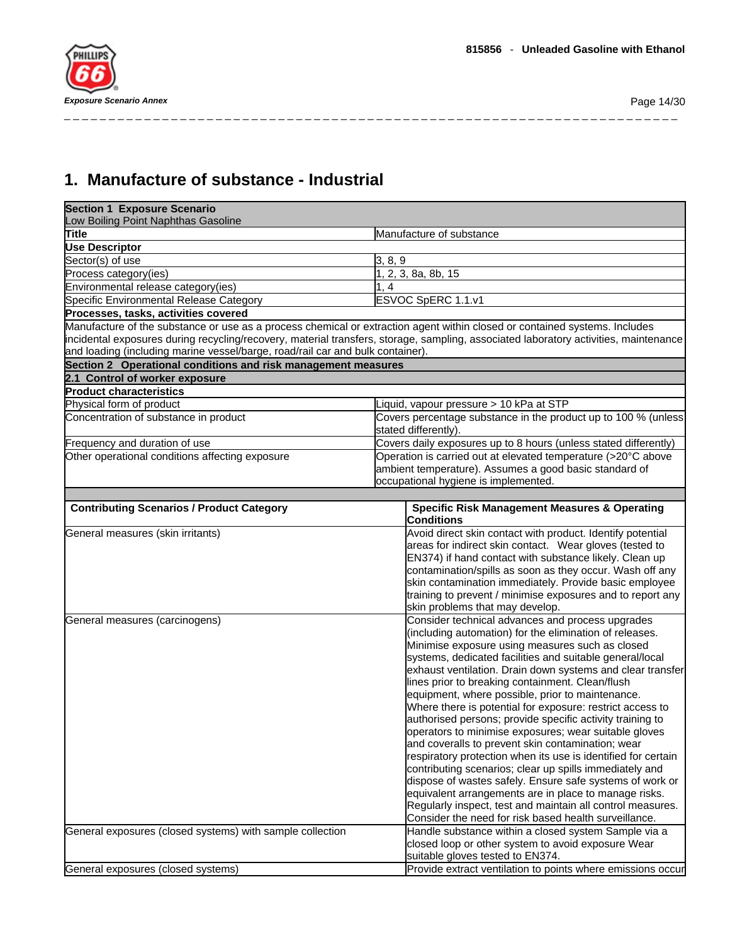

# **1. Manufacture of substance - Industrial**

| <b>Section 1 Exposure Scenario</b><br>Low Boiling Point Naphthas Gasoline      |                                                                                                                                      |
|--------------------------------------------------------------------------------|--------------------------------------------------------------------------------------------------------------------------------------|
| Title                                                                          | Manufacture of substance                                                                                                             |
| <b>Use Descriptor</b>                                                          |                                                                                                                                      |
| Sector(s) of use                                                               | 3, 8, 9                                                                                                                              |
| Process category(ies)                                                          | 1, 2, 3, 8a, 8b, 15                                                                                                                  |
| Environmental release category(ies)                                            | 1.4                                                                                                                                  |
| Specific Environmental Release Category                                        | ESVOC SpERC 1.1.v1                                                                                                                   |
| Processes, tasks, activities covered                                           |                                                                                                                                      |
|                                                                                | Manufacture of the substance or use as a process chemical or extraction agent within closed or contained systems. Includes           |
|                                                                                | incidental exposures during recycling/recovery, material transfers, storage, sampling, associated laboratory activities, maintenance |
| and loading (including marine vessel/barge, road/rail car and bulk container). |                                                                                                                                      |
| Section 2 Operational conditions and risk management measures                  |                                                                                                                                      |
| 2.1 Control of worker exposure                                                 |                                                                                                                                      |
| <b>Product characteristics</b>                                                 |                                                                                                                                      |
| Physical form of product                                                       | Liquid, vapour pressure > 10 kPa at STP                                                                                              |
|                                                                                |                                                                                                                                      |
| Concentration of substance in product                                          | Covers percentage substance in the product up to 100 % (unless<br>stated differently).                                               |
| Frequency and duration of use                                                  | Covers daily exposures up to 8 hours (unless stated differently)                                                                     |
| Other operational conditions affecting exposure                                | Operation is carried out at elevated temperature (>20°C above                                                                        |
|                                                                                | ambient temperature). Assumes a good basic standard of                                                                               |
|                                                                                | occupational hygiene is implemented.                                                                                                 |
|                                                                                |                                                                                                                                      |
| <b>Contributing Scenarios / Product Category</b>                               | <b>Specific Risk Management Measures &amp; Operating</b><br><b>Conditions</b>                                                        |
| General measures (skin irritants)                                              | Avoid direct skin contact with product. Identify potential                                                                           |
|                                                                                | areas for indirect skin contact. Wear gloves (tested to                                                                              |
|                                                                                | EN374) if hand contact with substance likely. Clean up                                                                               |
|                                                                                | contamination/spills as soon as they occur. Wash off any                                                                             |
|                                                                                | skin contamination immediately. Provide basic employee                                                                               |
|                                                                                | training to prevent / minimise exposures and to report any                                                                           |
|                                                                                | skin problems that may develop.                                                                                                      |
| General measures (carcinogens)                                                 | Consider technical advances and process upgrades                                                                                     |
|                                                                                | (including automation) for the elimination of releases.                                                                              |
|                                                                                | Minimise exposure using measures such as closed                                                                                      |
|                                                                                | systems, dedicated facilities and suitable general/local                                                                             |
|                                                                                | exhaust ventilation. Drain down systems and clear transfer                                                                           |
|                                                                                | lines prior to breaking containment. Clean/flush                                                                                     |
|                                                                                | equipment, where possible, prior to maintenance.                                                                                     |
|                                                                                | Where there is potential for exposure: restrict access to                                                                            |
|                                                                                | authorised persons; provide specific activity training to<br>operators to minimise exposures; wear suitable gloves                   |
|                                                                                | and coveralls to prevent skin contamination; wear                                                                                    |
|                                                                                | respiratory protection when its use is identified for certain                                                                        |
|                                                                                | contributing scenarios; clear up spills immediately and                                                                              |
|                                                                                | dispose of wastes safely. Ensure safe systems of work or                                                                             |
|                                                                                | equivalent arrangements are in place to manage risks.                                                                                |
|                                                                                | Regularly inspect, test and maintain all control measures.                                                                           |
|                                                                                | Consider the need for risk based health surveillance.                                                                                |
| General exposures (closed systems) with sample collection                      | Handle substance within a closed system Sample via a                                                                                 |
|                                                                                | closed loop or other system to avoid exposure Wear                                                                                   |
|                                                                                | suitable gloves tested to EN374.                                                                                                     |
| General exposures (closed systems)                                             | Provide extract ventilation to points where emissions occur                                                                          |
|                                                                                |                                                                                                                                      |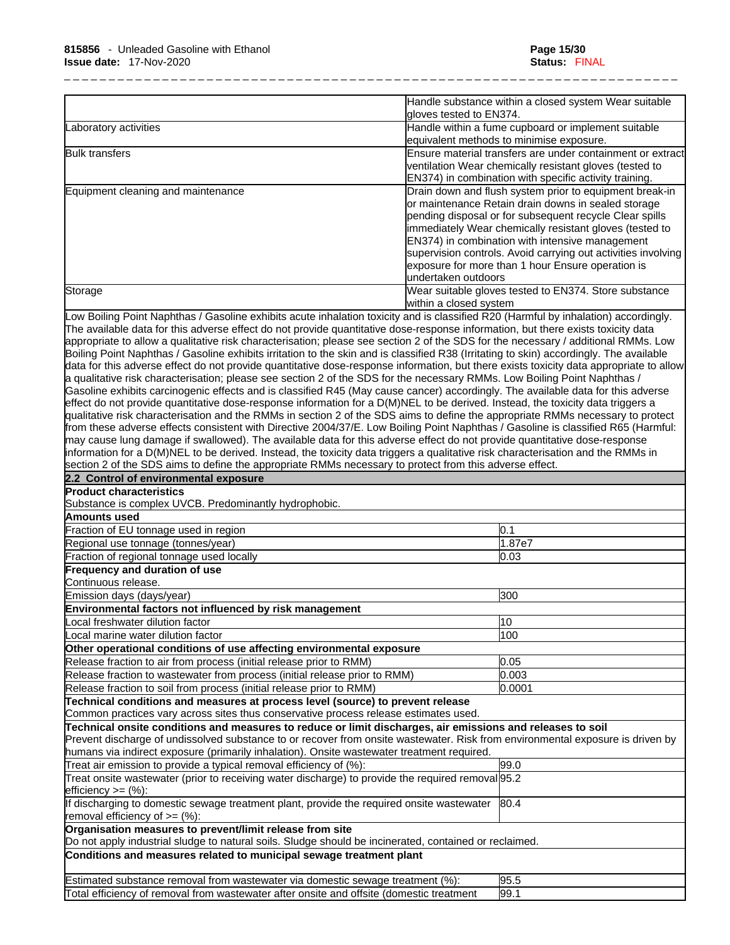|                                    | Handle substance within a closed system Wear suitable<br>gloves tested to EN374.                                                                                                                                                                                                                                                                                                                                                     |
|------------------------------------|--------------------------------------------------------------------------------------------------------------------------------------------------------------------------------------------------------------------------------------------------------------------------------------------------------------------------------------------------------------------------------------------------------------------------------------|
| Laboratory activities              | Handle within a fume cupboard or implement suitable<br>equivalent methods to minimise exposure.                                                                                                                                                                                                                                                                                                                                      |
| <b>Bulk transfers</b>              | Ensure material transfers are under containment or extract<br>ventilation Wear chemically resistant gloves (tested to<br>EN374) in combination with specific activity training.                                                                                                                                                                                                                                                      |
| Equipment cleaning and maintenance | Drain down and flush system prior to equipment break-in<br>or maintenance Retain drain downs in sealed storage<br>pending disposal or for subsequent recycle Clear spills<br>immediately Wear chemically resistant gloves (tested to<br>EN374) in combination with intensive management<br>supervision controls. Avoid carrying out activities involving<br>exposure for more than 1 hour Ensure operation is<br>undertaken outdoors |
| Storage                            | Wear suitable gloves tested to EN374. Store substance<br>within a closed system                                                                                                                                                                                                                                                                                                                                                      |

Low Boiling Point Naphthas / Gasoline exhibits acute inhalation toxicity and is classified R20 (Harmful by inhalation) accordingly. The available data for this adverse effect do not provide quantitative dose-response information, but there exists toxicity data appropriate to allow a qualitative risk characterisation; please see section 2 of the SDS for the necessary / additional RMMs. Low Boiling Point Naphthas / Gasoline exhibits irritation to the skin and is classified R38 (Irritating to skin) accordingly. The available data for this adverse effect do not provide quantitative dose-response information, but there exists toxicity data appropriate to allow a qualitative risk characterisation; please see section 2 of the SDS for the necessary RMMs. Low Boiling Point Naphthas / Gasoline exhibits carcinogenic effects and is classified R45 (May cause cancer) accordingly. The available data for this adverse effect do not provide quantitative dose-response information for a D(M)NEL to be derived. Instead, the toxicity data triggers a qualitative risk characterisation and the RMMs in section 2 of the SDS aims to define the appropriate RMMs necessary to protect from these adverse effects consistent with Directive 2004/37/E. Low Boiling Point Naphthas / Gasoline is classified R65 (Harmful: may cause lung damage if swallowed). The available data for this adverse effect do not provide quantitative dose-response information for a D(M)NEL to be derived. Instead, the toxicity data triggers a qualitative risk characterisation and the RMMs in section 2 of the SDS aims to define the appropriate RMMs necessary to protect from this adverse effect.

| 2.2 Control of environmental exposure                                                                                          |        |
|--------------------------------------------------------------------------------------------------------------------------------|--------|
| <b>Product characteristics</b>                                                                                                 |        |
| Substance is complex UVCB. Predominantly hydrophobic.                                                                          |        |
| Amounts used                                                                                                                   |        |
| Fraction of EU tonnage used in region                                                                                          | 0.1    |
| Regional use tonnage (tonnes/year)                                                                                             | 1.87e7 |
| Fraction of regional tonnage used locally                                                                                      | 0.03   |
| <b>Frequency and duration of use</b>                                                                                           |        |
| Continuous release.                                                                                                            |        |
| Emission days (days/year)                                                                                                      | 300    |
| Environmental factors not influenced by risk management                                                                        |        |
| Local freshwater dilution factor                                                                                               | 10     |
| Local marine water dilution factor                                                                                             | 100    |
| Other operational conditions of use affecting environmental exposure                                                           |        |
| Release fraction to air from process (initial release prior to RMM)                                                            | 0.05   |
| Release fraction to wastewater from process (initial release prior to RMM)                                                     | 0.003  |
| Release fraction to soil from process (initial release prior to RMM)                                                           | 0.0001 |
| Technical conditions and measures at process level (source) to prevent release                                                 |        |
| Common practices vary across sites thus conservative process release estimates used.                                           |        |
| Technical onsite conditions and measures to reduce or limit discharges, air emissions and releases to soil                     |        |
| Prevent discharge of undissolved substance to or recover from onsite wastewater. Risk from environmental exposure is driven by |        |
| humans via indirect exposure (primarily inhalation). Onsite wastewater treatment required.                                     |        |
| Treat air emission to provide a typical removal efficiency of (%):                                                             | 99.0   |
| Treat onsite wastewater (prior to receiving water discharge) to provide the required removal [95.2]<br>efficiency $>=$ (%):    |        |
| If discharging to domestic sewage treatment plant, provide the required onsite wastewater<br>removal efficiency of $=$ (%):    | 80.4   |
| Organisation measures to prevent/limit release from site                                                                       |        |
| Do not apply industrial sludge to natural soils. Sludge should be incinerated, contained or reclaimed.                         |        |
| Conditions and measures related to municipal sewage treatment plant                                                            |        |
| Estimated substance removal from wastewater via domestic sewage treatment (%):                                                 | 95.5   |
| Total efficiency of removal from wastewater after onsite and offsite (domestic treatment                                       | 99.1   |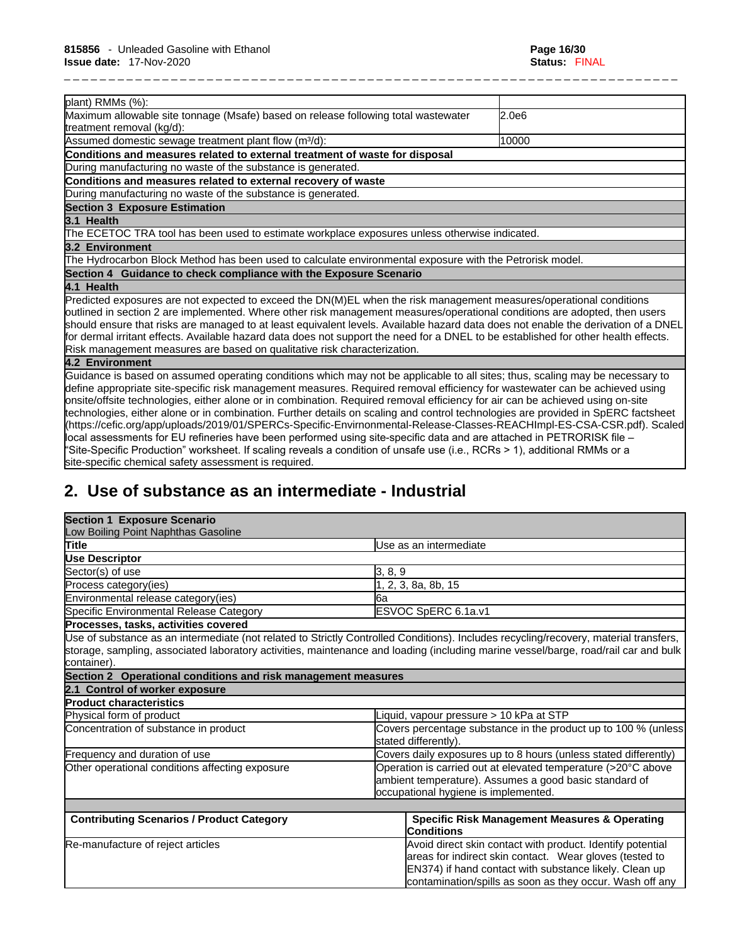| plant) RMMs (%):                                                                                                                    |       |
|-------------------------------------------------------------------------------------------------------------------------------------|-------|
| Maximum allowable site tonnage (Msafe) based on release following total wastewater                                                  | 2.0e6 |
| treatment removal (kg/d):                                                                                                           |       |
| Assumed domestic sewage treatment plant flow (m <sup>3</sup> /d):                                                                   | 10000 |
| Conditions and measures related to external treatment of waste for disposal                                                         |       |
| During manufacturing no waste of the substance is generated.                                                                        |       |
| Conditions and measures related to external recovery of waste                                                                       |       |
| During manufacturing no waste of the substance is generated.                                                                        |       |
| <b>Section 3 Exposure Estimation</b>                                                                                                |       |
| 3.1 Health                                                                                                                          |       |
| The ECETOC TRA tool has been used to estimate workplace exposures unless otherwise indicated.                                       |       |
| 3.2 Environment                                                                                                                     |       |
| The Hydrocarbon Block Method has been used to calculate environmental exposure with the Petrorisk model.                            |       |
| Section 4 Guidance to check compliance with the Exposure Scenario                                                                   |       |
| 4.1 Health                                                                                                                          |       |
| Predicted exposures are not expected to exceed the DN(M)EL when the risk management measures/operational conditions                 |       |
| outlined in section 2 are implemented. Where other risk management measures/operational conditions are adopted, then users          |       |
| should ensure that risks are managed to at least equivalent levels. Available hazard data does not enable the derivation of a DNEL  |       |
| for dermal irritant effects. Available hazard data does not support the need for a DNEL to be established for other health effects. |       |
| Risk management measures are based on qualitative risk characterization.                                                            |       |
| 4.2 Environment                                                                                                                     |       |
| Guidance is based on assumed operating conditions which may not be applicable to all sites; thus, scaling may be necessary to       |       |
| define appropriate site-specific risk management measures. Required removal efficiency for wastewater can be achieved using         |       |
| onsite/offsite technologies, either alone or in combination. Required removal efficiency for air can be achieved using on-site      |       |
| technologies, either alone or in combination. Further details on scaling and control technologies are provided in SpERC factsheet   |       |
| (https://cefic.org/app/uploads/2019/01/SPERCs-Specific-Envirnonmental-Release-Classes-REACHImpl-ES-CSA-CSR.pdf). Scaled             |       |
| local assessments for EU refineries have been performed using site-specific data and are attached in PETRORISK file -               |       |
| "Site-Specific Production" worksheet. If scaling reveals a condition of unsafe use (i.e., RCRs > 1), additional RMMs or a           |       |
| site-specific chemical safety assessment is required.                                                                               |       |

# **2. Use of substance as an intermediate - Industrial**

| <b>Section 1 Exposure Scenario</b>                            |                                                                                                                                                                                                                                             |  |
|---------------------------------------------------------------|---------------------------------------------------------------------------------------------------------------------------------------------------------------------------------------------------------------------------------------------|--|
| Low Boiling Point Naphthas Gasoline                           |                                                                                                                                                                                                                                             |  |
| Title                                                         | Use as an intermediate                                                                                                                                                                                                                      |  |
| <b>Use Descriptor</b>                                         |                                                                                                                                                                                                                                             |  |
| Sector(s) of use                                              | 3, 8, 9                                                                                                                                                                                                                                     |  |
| Process category(ies)                                         | 2, 3, 8a, 8b, 15                                                                                                                                                                                                                            |  |
| Environmental release category(ies)                           | 6a                                                                                                                                                                                                                                          |  |
| Specific Environmental Release Category                       | ESVOC SpERC 6.1a.v1                                                                                                                                                                                                                         |  |
| Processes, tasks, activities covered                          |                                                                                                                                                                                                                                             |  |
|                                                               | Use of substance as an intermediate (not related to Strictly Controlled Conditions). Includes recycling/recovery, material transfers,                                                                                                       |  |
|                                                               | storage, sampling, associated laboratory activities, maintenance and loading (including marine vessel/barge, road/rail car and bulk                                                                                                         |  |
| container).                                                   |                                                                                                                                                                                                                                             |  |
| Section 2 Operational conditions and risk management measures |                                                                                                                                                                                                                                             |  |
| 2.1 Control of worker exposure                                |                                                                                                                                                                                                                                             |  |
| <b>Product characteristics</b>                                |                                                                                                                                                                                                                                             |  |
| Physical form of product                                      | Liquid, vapour pressure > 10 kPa at STP                                                                                                                                                                                                     |  |
| Concentration of substance in product                         | Covers percentage substance in the product up to 100 % (unless)<br>stated differently).                                                                                                                                                     |  |
| Frequency and duration of use                                 | Covers daily exposures up to 8 hours (unless stated differently)                                                                                                                                                                            |  |
| Other operational conditions affecting exposure               | Operation is carried out at elevated temperature (>20°C above<br>ambient temperature). Assumes a good basic standard of<br>occupational hygiene is implemented.                                                                             |  |
|                                                               |                                                                                                                                                                                                                                             |  |
| <b>Contributing Scenarios / Product Category</b>              | <b>Specific Risk Management Measures &amp; Operating</b><br><b>Conditions</b>                                                                                                                                                               |  |
| Re-manufacture of reject articles                             | Avoid direct skin contact with product. Identify potential<br>areas for indirect skin contact. Wear gloves (tested to<br>EN374) if hand contact with substance likely. Clean up<br>contamination/spills as soon as they occur. Wash off any |  |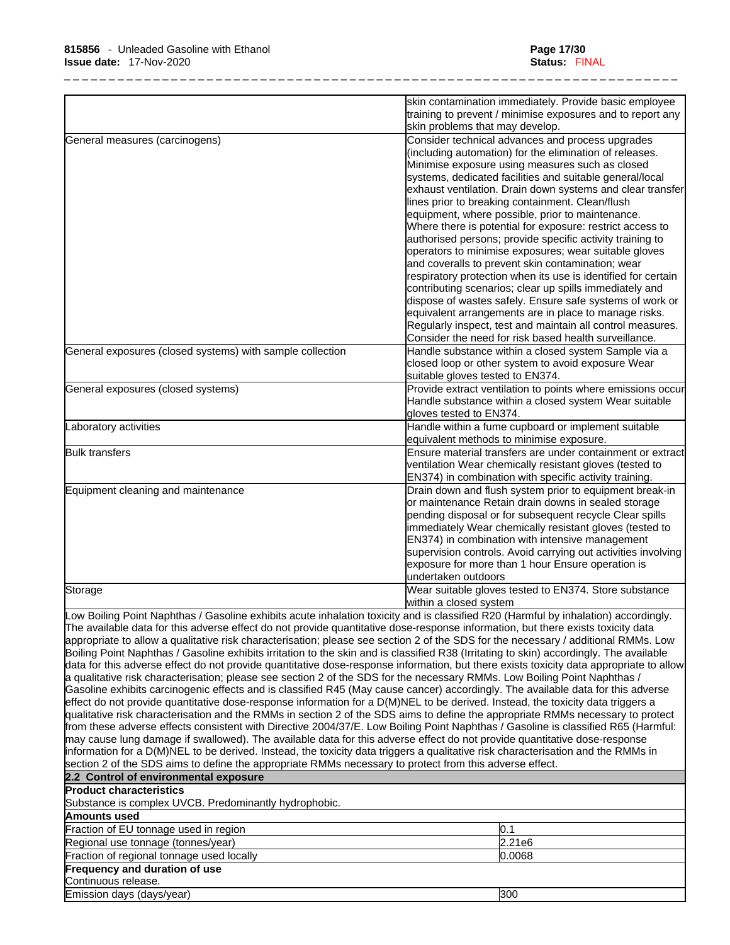|                                                           | skin contamination immediately. Provide basic employee                                                      |
|-----------------------------------------------------------|-------------------------------------------------------------------------------------------------------------|
|                                                           | training to prevent / minimise exposures and to report any                                                  |
|                                                           | skin problems that may develop.                                                                             |
| General measures (carcinogens)                            | Consider technical advances and process upgrades<br>(including automation) for the elimination of releases. |
|                                                           | Minimise exposure using measures such as closed                                                             |
|                                                           | systems, dedicated facilities and suitable general/local                                                    |
|                                                           | exhaust ventilation. Drain down systems and clear transfer                                                  |
|                                                           | lines prior to breaking containment. Clean/flush                                                            |
|                                                           | equipment, where possible, prior to maintenance.                                                            |
|                                                           | Where there is potential for exposure: restrict access to                                                   |
|                                                           | authorised persons; provide specific activity training to                                                   |
|                                                           | operators to minimise exposures; wear suitable gloves                                                       |
|                                                           | and coveralls to prevent skin contamination; wear                                                           |
|                                                           | respiratory protection when its use is identified for certain                                               |
|                                                           | contributing scenarios; clear up spills immediately and                                                     |
|                                                           | dispose of wastes safely. Ensure safe systems of work or                                                    |
|                                                           | equivalent arrangements are in place to manage risks.                                                       |
|                                                           | Regularly inspect, test and maintain all control measures.                                                  |
|                                                           | Consider the need for risk based health surveillance.                                                       |
| General exposures (closed systems) with sample collection | Handle substance within a closed system Sample via a                                                        |
|                                                           | closed loop or other system to avoid exposure Wear                                                          |
|                                                           | suitable gloves tested to EN374.                                                                            |
| General exposures (closed systems)                        | Provide extract ventilation to points where emissions occur                                                 |
|                                                           | Handle substance within a closed system Wear suitable                                                       |
|                                                           | gloves tested to EN374.                                                                                     |
| Laboratory activities                                     | Handle within a fume cupboard or implement suitable                                                         |
|                                                           | equivalent methods to minimise exposure.                                                                    |
| <b>Bulk transfers</b>                                     | lEnsure material transfers are under containment or extract                                                 |
|                                                           | ventilation Wear chemically resistant gloves (tested to                                                     |
|                                                           | EN374) in combination with specific activity training.                                                      |
| Equipment cleaning and maintenance                        | Drain down and flush system prior to equipment break-in                                                     |
|                                                           | or maintenance Retain drain downs in sealed storage                                                         |
|                                                           | pending disposal or for subsequent recycle Clear spills                                                     |
|                                                           | immediately Wear chemically resistant gloves (tested to                                                     |
|                                                           | EN374) in combination with intensive management                                                             |
|                                                           | supervision controls. Avoid carrying out activities involving                                               |
|                                                           | exposure for more than 1 hour Ensure operation is                                                           |
|                                                           | undertaken outdoors                                                                                         |
| Storage                                                   | Wear suitable gloves tested to EN374. Store substance                                                       |
|                                                           | within a closed system                                                                                      |

appropriate to allow a qualitative risk characterisation; please see section 2 of the SDS for the necessary / additional RMMs. Low Boiling Point Naphthas / Gasoline exhibits irritation to the skin and is classified R38 (Irritating to skin) accordingly. The available data for this adverse effect do not provide quantitative dose-response information, but there exists toxicity data appropriate to allow a qualitative risk characterisation; please see section 2 of the SDS for the necessary RMMs. Low Boiling Point Naphthas / Gasoline exhibits carcinogenic effects and is classified R45 (May cause cancer) accordingly. The available data for this adverse effect do not provide quantitative dose-response information for a D(M)NEL to be derived. Instead, the toxicity data triggers a qualitative risk characterisation and the RMMs in section 2 of the SDS aims to define the appropriate RMMs necessary to protect from these adverse effects consistent with Directive 2004/37/E. Low Boiling Point Naphthas / Gasoline is classified R65 (Harmful: may cause lung damage if swallowed). The available data for this adverse effect do not provide quantitative dose-response information for a D(M)NEL to be derived. Instead, the toxicity data triggers a qualitative risk characterisation and the RMMs in section 2 of the SDS aims to define the appropriate RMMs necessary to protect from this adverse effect.

| 2.2 Control of environmental exposure                 |        |
|-------------------------------------------------------|--------|
| <b>Product characteristics</b>                        |        |
| Substance is complex UVCB. Predominantly hydrophobic. |        |
| Amounts used                                          |        |
| Fraction of EU tonnage used in region                 |        |
| Regional use tonnage (tonnes/year)                    | 2.21e6 |
| Fraction of regional tonnage used locally             | 0.0068 |
| Frequency and duration of use                         |        |
| Continuous release.                                   |        |
| Emission days (days/year)                             | 300    |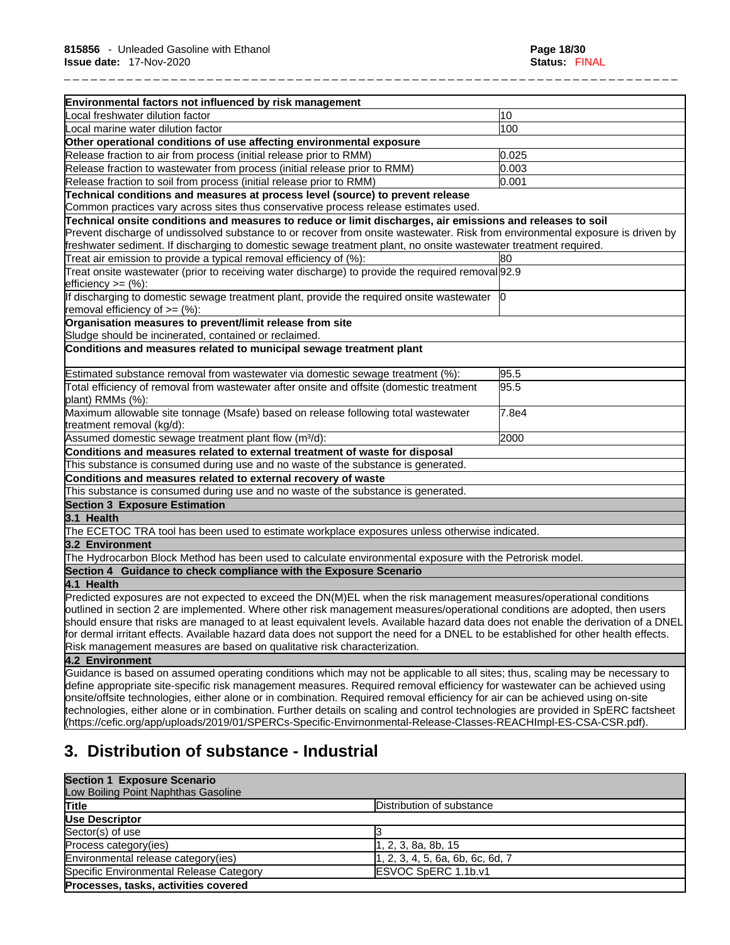| Environmental factors not influenced by risk management                                                                             |       |
|-------------------------------------------------------------------------------------------------------------------------------------|-------|
| ocal freshwater dilution factor                                                                                                     | 10    |
| Local marine water dilution factor                                                                                                  | 100   |
| Other operational conditions of use affecting environmental exposure                                                                |       |
| Release fraction to air from process (initial release prior to RMM)                                                                 | 0.025 |
| Release fraction to wastewater from process (initial release prior to RMM)                                                          | 0.003 |
| Release fraction to soil from process (initial release prior to RMM)                                                                | 0.001 |
| Technical conditions and measures at process level (source) to prevent release                                                      |       |
| Common practices vary across sites thus conservative process release estimates used.                                                |       |
| Technical onsite conditions and measures to reduce or limit discharges, air emissions and releases to soil                          |       |
| Prevent discharge of undissolved substance to or recover from onsite wastewater. Risk from environmental exposure is driven by      |       |
| freshwater sediment. If discharging to domestic sewage treatment plant, no onsite wastewater treatment required.                    |       |
| Treat air emission to provide a typical removal efficiency of (%):                                                                  | 80    |
| Treat onsite wastewater (prior to receiving water discharge) to provide the required removal 92.9                                   |       |
| efficiency $>=$ $(\%)$ :                                                                                                            |       |
| If discharging to domestic sewage treatment plant, provide the required onsite wastewater                                           | 10    |
| removal efficiency of $=$ (%):                                                                                                      |       |
| Organisation measures to prevent/limit release from site                                                                            |       |
| Sludge should be incinerated, contained or reclaimed.                                                                               |       |
| Conditions and measures related to municipal sewage treatment plant                                                                 |       |
| Estimated substance removal from wastewater via domestic sewage treatment (%):                                                      | 95.5  |
| Total efficiency of removal from wastewater after onsite and offsite (domestic treatment<br>plant) RMMs (%):                        | 95.5  |
| Maximum allowable site tonnage (Msafe) based on release following total wastewater                                                  | 7.8e4 |
| treatment removal (kg/d):                                                                                                           |       |
| Assumed domestic sewage treatment plant flow (m <sup>3</sup> /d):                                                                   | 2000  |
| Conditions and measures related to external treatment of waste for disposal                                                         |       |
| This substance is consumed during use and no waste of the substance is generated.                                                   |       |
| Conditions and measures related to external recovery of waste                                                                       |       |
| This substance is consumed during use and no waste of the substance is generated.                                                   |       |
| <b>Section 3 Exposure Estimation</b>                                                                                                |       |
| 3.1 Health                                                                                                                          |       |
| The ECETOC TRA tool has been used to estimate workplace exposures unless otherwise indicated.                                       |       |
| 3.2 Environment                                                                                                                     |       |
| The Hydrocarbon Block Method has been used to calculate environmental exposure with the Petrorisk model.                            |       |
| Section 4 Guidance to check compliance with the Exposure Scenario                                                                   |       |
| 4.1 Health                                                                                                                          |       |
| Predicted exposures are not expected to exceed the DN(M)EL when the risk management measures/operational conditions                 |       |
| outlined in section 2 are implemented. Where other risk management measures/operational conditions are adopted, then users          |       |
| should ensure that risks are managed to at least equivalent levels. Available hazard data does not enable the derivation of a DNEL  |       |
| for dermal irritant effects. Available hazard data does not support the need for a DNEL to be established for other health effects. |       |
| Risk management measures are based on qualitative risk characterization.                                                            |       |
| 4.2 Environment                                                                                                                     |       |
| Guidance is based on assumed operating conditions which may not be applicable to all sites; thus, scaling may be necessary to       |       |
| define appropriate site-specific risk management measures. Required removal efficiency for wastewater can be achieved using         |       |
| onsite/offsite technologies, either alone or in combination. Required removal efficiency for air can be achieved using on-site      |       |
| technologies, either alone or in combination. Further details on scaling and control technologies are provided in SpERC factsheet   |       |

# **3. Distribution of substance - Industrial**

### **Section 1 Exposure Scenario** Low Boiling Point Naphthas Gasoline **Title Distribution of substance Use Descriptor**   $Sector(s)$  of use  $3$ Process category(ies) 1, 2, 3, 8a, 8b, 15 Environmental release category(ies) [1, 2, 3, 4, 5, 6a, 6b, 6c, 6d, 7 Specific Environmental Release Category **ESVOC SpERC 1.1b.v1 Processes, tasks, activities covered**

(https://cefic.org/app/uploads/2019/01/SPERCs-Specific-Envirnonmental-Release-Classes-REACHImpl-ES-CSA-CSR.pdf).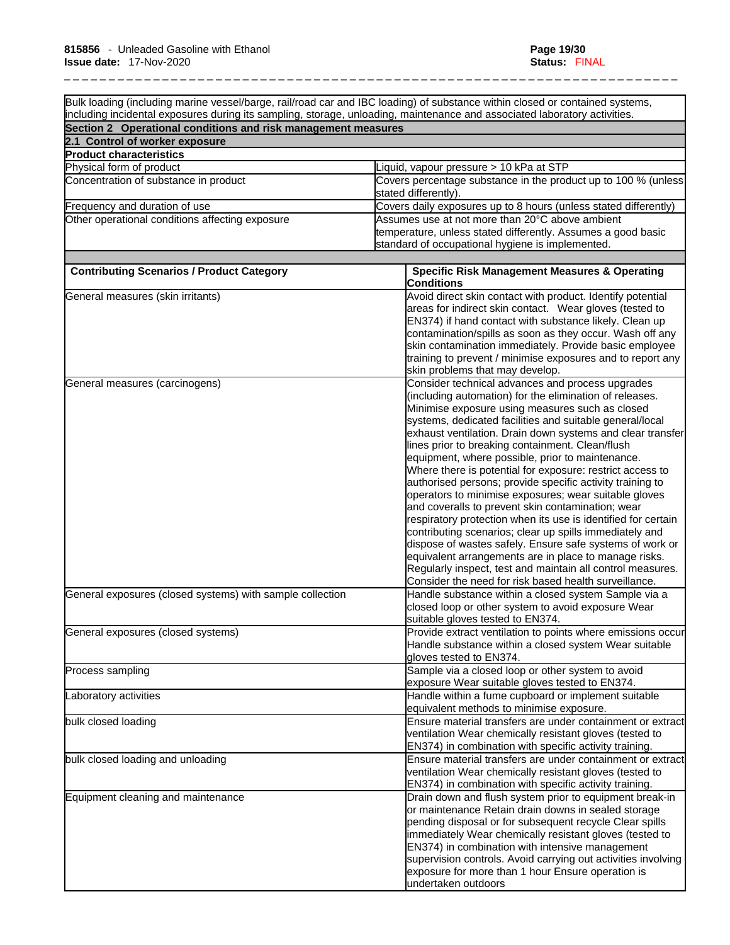Bulk loading (including marine vessel/barge, rail/road car and IBC loading) of substance within closed or contained systems, including incidental exposures during its sampling, storage, unloading, maintenance and associated laboratory activities. **Section 2 Operational conditions and risk management measures 2.1 Control of worker exposure Product characteristics**  Physical form of product Liquid, vapour pressure > 10 kPa at STP Concentration of substance in product Covers percentage substance in the product up to 100 % (unless stated differently). Frequency and duration of use Covers daily exposures up to 8 hours (unless stated differently) Other operational conditions affecting exposure Assumes use at not more than 20°C above ambient temperature, unless stated differently. Assumes a good basic standard of occupational hygiene is implemented. **Contributing Scenarios / Product Category Specific Risk Management Measures & Operating Conditions**  General measures (skin irritants) Avoid direct skin contact with product. Identify potential areas for indirect skin contact. Wear gloves (tested to EN374) if hand contact with substance likely. Clean up contamination/spills as soon as they occur. Wash off any skin contamination immediately. Provide basic employee training to prevent / minimise exposures and to report any skin problems that may develop. General measures (carcinogens) Consider technical advances and process upgrades (including automation) for the elimination of releases. Minimise exposure using measures such as closed systems, dedicated facilities and suitable general/local exhaust ventilation. Drain down systems and clear transfer lines prior to breaking containment. Clean/flush equipment, where possible, prior to maintenance. Where there is potential for exposure: restrict access to authorised persons; provide specific activity training to operators to minimise exposures; wear suitable gloves and coveralls to prevent skin contamination; wear respiratory protection when its use is identified for certain contributing scenarios; clear up spills immediately and dispose of wastes safely. Ensure safe systems of work or equivalent arrangements are in place to manage risks. Regularly inspect, test and maintain all control measures. Consider the need for risk based health surveillance. General exposures (closed systems) with sample collection Handle substance within a closed system Sample via a closed loop or other system to avoid exposure Wear suitable gloves tested to EN374. General exposures (closed systems) extract ventilation to points where emissions occur Handle substance within a closed system Wear suitable gloves tested to EN374. Process sampling Sample via a closed loop or other system to avoid exposure Wear suitable gloves tested to EN374. Laboratory activities Handle within a fume cupboard or implement suitable equivalent methods to minimise exposure. bulk closed loading Ensure material transfers are under containment or extract ventilation Wear chemically resistant gloves (tested to EN374) in combination with specific activity training. bulk closed loading and unloading Ensure material transfers are under containment or extract ventilation Wear chemically resistant gloves (tested to EN374) in combination with specific activity training. Equipment cleaning and maintenance Drain down and flush system prior to equipment break-in or maintenance Retain drain downs in sealed storage pending disposal or for subsequent recycle Clear spills immediately Wear chemically resistant gloves (tested to EN374) in combination with intensive management supervision controls. Avoid carrying out activities involving exposure for more than 1 hour Ensure operation is undertaken outdoors

\_ \_ \_ \_ \_ \_ \_ \_ \_ \_ \_ \_ \_ \_ \_ \_ \_ \_ \_ \_ \_ \_ \_ \_ \_ \_ \_ \_ \_ \_ \_ \_ \_ \_ \_ \_ \_ \_ \_ \_ \_ \_ \_ \_ \_ \_ \_ \_ \_ \_ \_ \_ \_ \_ \_ \_ \_ \_ \_ \_ \_ \_ \_ \_ \_ \_ \_ \_ \_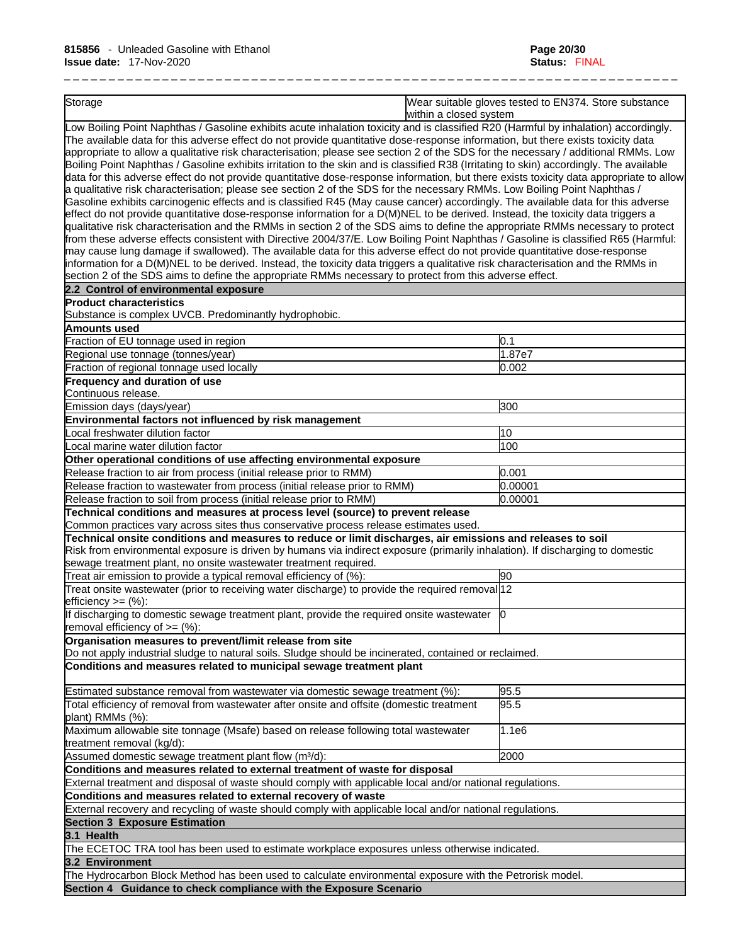Storage Wear suitable gloves tested to EN374. Store substance within a closed system Low Boiling Point Naphthas / Gasoline exhibits acute inhalation toxicity and is classified R20 (Harmful by inhalation) accordingly.

\_ \_ \_ \_ \_ \_ \_ \_ \_ \_ \_ \_ \_ \_ \_ \_ \_ \_ \_ \_ \_ \_ \_ \_ \_ \_ \_ \_ \_ \_ \_ \_ \_ \_ \_ \_ \_ \_ \_ \_ \_ \_ \_ \_ \_ \_ \_ \_ \_ \_ \_ \_ \_ \_ \_ \_ \_ \_ \_ \_ \_ \_ \_ \_ \_ \_ \_ \_ \_

The available data for this adverse effect do not provide quantitative dose-response information, but there exists toxicity data appropriate to allow a qualitative risk characterisation; please see section 2 of the SDS for the necessary / additional RMMs. Low Boiling Point Naphthas / Gasoline exhibits irritation to the skin and is classified R38 (Irritating to skin) accordingly. The available data for this adverse effect do not provide quantitative dose-response information, but there exists toxicity data appropriate to allow a qualitative risk characterisation; please see section 2 of the SDS for the necessary RMMs. Low Boiling Point Naphthas / Gasoline exhibits carcinogenic effects and is classified R45 (May cause cancer) accordingly. The available data for this adverse effect do not provide quantitative dose-response information for a D(M)NEL to be derived. Instead, the toxicity data triggers a qualitative risk characterisation and the RMMs in section 2 of the SDS aims to define the appropriate RMMs necessary to protect from these adverse effects consistent with Directive 2004/37/E. Low Boiling Point Naphthas / Gasoline is classified R65 (Harmful: may cause lung damage if swallowed). The available data for this adverse effect do not provide quantitative dose-response information for a D(M)NEL to be derived. Instead, the toxicity data triggers a qualitative risk characterisation and the RMMs in section 2 of the SDS aims to define the appropriate RMMs necessary to protect from this adverse effect.

| $\frac{1}{2}$ of the ODO almost country the appropriate runnel heceasary to protect hom this adverse enco                                                                                                                                                                                                                                                                  |         |
|----------------------------------------------------------------------------------------------------------------------------------------------------------------------------------------------------------------------------------------------------------------------------------------------------------------------------------------------------------------------------|---------|
| 2.2 Control of environmental exposure                                                                                                                                                                                                                                                                                                                                      |         |
| <b>Product characteristics</b>                                                                                                                                                                                                                                                                                                                                             |         |
| Substance is complex UVCB. Predominantly hydrophobic.                                                                                                                                                                                                                                                                                                                      |         |
| <b>Amounts used</b>                                                                                                                                                                                                                                                                                                                                                        |         |
| Fraction of EU tonnage used in region                                                                                                                                                                                                                                                                                                                                      | 0.1     |
| Regional use tonnage (tonnes/year)                                                                                                                                                                                                                                                                                                                                         | 1.87e7  |
| Fraction of regional tonnage used locally                                                                                                                                                                                                                                                                                                                                  | 0.002   |
| <b>Frequency and duration of use</b>                                                                                                                                                                                                                                                                                                                                       |         |
| Continuous release.                                                                                                                                                                                                                                                                                                                                                        |         |
| Emission days (days/year)                                                                                                                                                                                                                                                                                                                                                  | 300     |
| Environmental factors not influenced by risk management                                                                                                                                                                                                                                                                                                                    |         |
| Local freshwater dilution factor                                                                                                                                                                                                                                                                                                                                           | 10      |
| Local marine water dilution factor                                                                                                                                                                                                                                                                                                                                         | 100     |
| Other operational conditions of use affecting environmental exposure                                                                                                                                                                                                                                                                                                       |         |
| Release fraction to air from process (initial release prior to RMM)                                                                                                                                                                                                                                                                                                        | 0.001   |
| Release fraction to wastewater from process (initial release prior to RMM)                                                                                                                                                                                                                                                                                                 | 0.00001 |
| Release fraction to soil from process (initial release prior to RMM)                                                                                                                                                                                                                                                                                                       | 0.00001 |
| Technical conditions and measures at process level (source) to prevent release                                                                                                                                                                                                                                                                                             |         |
| Common practices vary across sites thus conservative process release estimates used.                                                                                                                                                                                                                                                                                       |         |
| Risk from environmental exposure is driven by humans via indirect exposure (primarily inhalation). If discharging to domestic<br>sewage treatment plant, no onsite wastewater treatment required.<br>Treat air emission to provide a typical removal efficiency of (%):<br>Treat onsite wastewater (prior to receiving water discharge) to provide the required removal 12 | 90      |
| efficiency $>=$ (%):                                                                                                                                                                                                                                                                                                                                                       |         |
| If discharging to domestic sewage treatment plant, provide the required onsite wastewater<br>removal efficiency of $=$ (%):                                                                                                                                                                                                                                                | Ю       |
| Organisation measures to prevent/limit release from site<br>Do not apply industrial sludge to natural soils. Sludge should be incinerated, contained or reclaimed.                                                                                                                                                                                                         |         |
| Conditions and measures related to municipal sewage treatment plant                                                                                                                                                                                                                                                                                                        |         |
| Estimated substance removal from wastewater via domestic sewage treatment (%):                                                                                                                                                                                                                                                                                             | 95.5    |
| Total efficiency of removal from wastewater after onsite and offsite (domestic treatment<br>plant) RMMs (%):                                                                                                                                                                                                                                                               | 95.5    |
| Maximum allowable site tonnage (Msafe) based on release following total wastewater<br>treatment removal (kg/d):                                                                                                                                                                                                                                                            | 1.1e6   |
| Assumed domestic sewage treatment plant flow (m <sup>3</sup> /d):                                                                                                                                                                                                                                                                                                          | 2000    |
| Conditions and measures related to external treatment of waste for disposal                                                                                                                                                                                                                                                                                                |         |
| External treatment and disposal of waste should comply with applicable local and/or national regulations.                                                                                                                                                                                                                                                                  |         |
| Conditions and measures related to external recovery of waste                                                                                                                                                                                                                                                                                                              |         |
| External recovery and recycling of waste should comply with applicable local and/or national regulations.                                                                                                                                                                                                                                                                  |         |
| <b>Section 3 Exposure Estimation</b>                                                                                                                                                                                                                                                                                                                                       |         |
| 3.1 Health                                                                                                                                                                                                                                                                                                                                                                 |         |
| The ECETOC TRA tool has been used to estimate workplace exposures unless otherwise indicated.                                                                                                                                                                                                                                                                              |         |
| 3.2 Environment                                                                                                                                                                                                                                                                                                                                                            |         |
| The Hydrocarbon Block Method has been used to calculate environmental exposure with the Petrorisk model.                                                                                                                                                                                                                                                                   |         |
| Section 4 Guidance to check compliance with the Exposure Scenario                                                                                                                                                                                                                                                                                                          |         |
|                                                                                                                                                                                                                                                                                                                                                                            |         |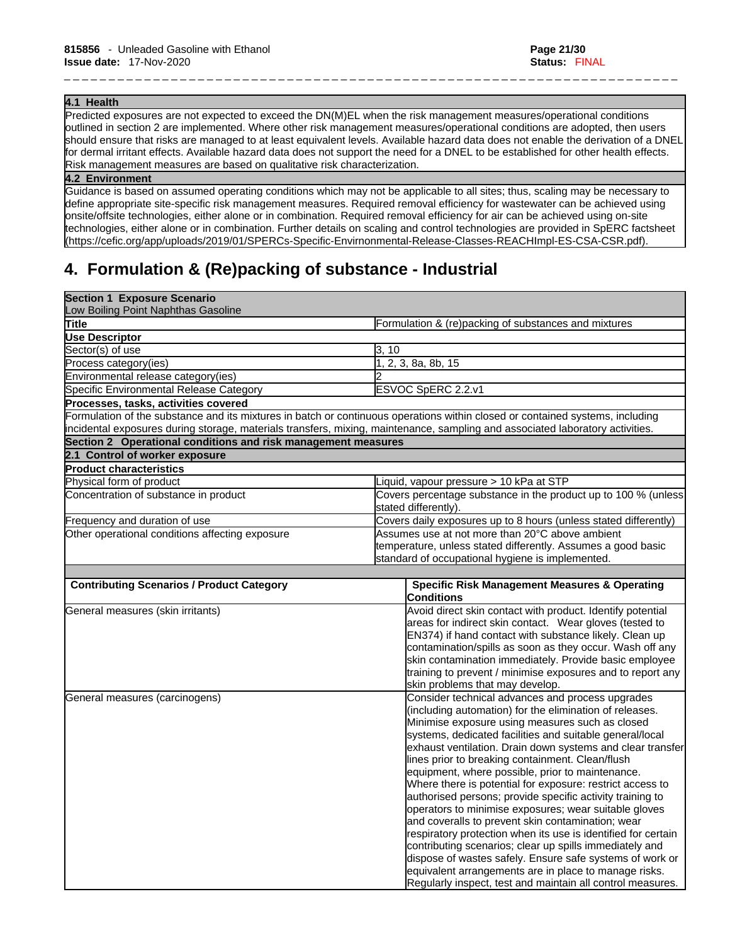#### **4.1 Health**

Predicted exposures are not expected to exceed the DN(M)EL when the risk management measures/operational conditions outlined in section 2 are implemented. Where other risk management measures/operational conditions are adopted, then users should ensure that risks are managed to at least equivalent levels. Available hazard data does not enable the derivation of a DNEL for dermal irritant effects. Available hazard data does not support the need for a DNEL to be established for other health effects. Risk management measures are based on qualitative risk characterization.

\_ \_ \_ \_ \_ \_ \_ \_ \_ \_ \_ \_ \_ \_ \_ \_ \_ \_ \_ \_ \_ \_ \_ \_ \_ \_ \_ \_ \_ \_ \_ \_ \_ \_ \_ \_ \_ \_ \_ \_ \_ \_ \_ \_ \_ \_ \_ \_ \_ \_ \_ \_ \_ \_ \_ \_ \_ \_ \_ \_ \_ \_ \_ \_ \_ \_ \_ \_ \_

#### **4.2 Environment**

Guidance is based on assumed operating conditions which may not be applicable to all sites; thus, scaling may be necessary to define appropriate site-specific risk management measures. Required removal efficiency for wastewater can be achieved using onsite/offsite technologies, either alone or in combination. Required removal efficiency for air can be achieved using on-site technologies, either alone or in combination. Further details on scaling and control technologies are provided in SpERC factsheet (https://cefic.org/app/uploads/2019/01/SPERCs-Specific-Envirnonmental-Release-Classes-REACHImpl-ES-CSA-CSR.pdf).

# **4. Formulation & (Re)packing of substance - Industrial**

| <b>Section 1 Exposure Scenario</b><br>Low Boiling Point Naphthas Gasoline |                                                                                                                               |  |
|---------------------------------------------------------------------------|-------------------------------------------------------------------------------------------------------------------------------|--|
| Title                                                                     | Formulation & (re)packing of substances and mixtures                                                                          |  |
| <b>Use Descriptor</b>                                                     |                                                                                                                               |  |
| Sector(s) of use                                                          | 3, 10                                                                                                                         |  |
| Process category(ies)                                                     | 1, 2, 3, 8a, 8b, 15                                                                                                           |  |
| Environmental release category(ies)                                       |                                                                                                                               |  |
| Specific Environmental Release Category                                   | ESVOC SpERC 2.2.v1                                                                                                            |  |
| Processes, tasks, activities covered                                      |                                                                                                                               |  |
|                                                                           | Formulation of the substance and its mixtures in batch or continuous operations within closed or contained systems, including |  |
|                                                                           | incidental exposures during storage, materials transfers, mixing, maintenance, sampling and associated laboratory activities. |  |
| Section 2 Operational conditions and risk management measures             |                                                                                                                               |  |
| 2.1 Control of worker exposure                                            |                                                                                                                               |  |
| <b>Product characteristics</b>                                            |                                                                                                                               |  |
| Physical form of product                                                  | Liquid, vapour pressure > 10 kPa at STP                                                                                       |  |
| Concentration of substance in product                                     | Covers percentage substance in the product up to 100 % (unless<br>stated differently).                                        |  |
| Frequency and duration of use                                             | Covers daily exposures up to 8 hours (unless stated differently)                                                              |  |
| Other operational conditions affecting exposure                           | Assumes use at not more than 20°C above ambient                                                                               |  |
|                                                                           | temperature, unless stated differently. Assumes a good basic                                                                  |  |
|                                                                           | standard of occupational hygiene is implemented.                                                                              |  |
|                                                                           |                                                                                                                               |  |
| <b>Contributing Scenarios / Product Category</b>                          | <b>Specific Risk Management Measures &amp; Operating</b><br><b>Conditions</b>                                                 |  |
| General measures (skin irritants)                                         | Avoid direct skin contact with product. Identify potential                                                                    |  |
|                                                                           | areas for indirect skin contact. Wear gloves (tested to                                                                       |  |
|                                                                           | EN374) if hand contact with substance likely. Clean up                                                                        |  |
|                                                                           | contamination/spills as soon as they occur. Wash off any                                                                      |  |
|                                                                           | skin contamination immediately. Provide basic employee                                                                        |  |
|                                                                           | training to prevent / minimise exposures and to report any                                                                    |  |
|                                                                           | skin problems that may develop.                                                                                               |  |
| General measures (carcinogens)                                            | Consider technical advances and process upgrades                                                                              |  |
|                                                                           | (including automation) for the elimination of releases.<br>Minimise exposure using measures such as closed                    |  |
|                                                                           | systems, dedicated facilities and suitable general/local                                                                      |  |
|                                                                           | exhaust ventilation. Drain down systems and clear transfer                                                                    |  |
|                                                                           | lines prior to breaking containment. Clean/flush                                                                              |  |
|                                                                           | equipment, where possible, prior to maintenance.                                                                              |  |
|                                                                           | Where there is potential for exposure: restrict access to                                                                     |  |
|                                                                           | authorised persons; provide specific activity training to                                                                     |  |
|                                                                           | operators to minimise exposures; wear suitable gloves                                                                         |  |
|                                                                           | and coveralls to prevent skin contamination; wear                                                                             |  |
|                                                                           | respiratory protection when its use is identified for certain                                                                 |  |
|                                                                           | contributing scenarios; clear up spills immediately and                                                                       |  |
|                                                                           | dispose of wastes safely. Ensure safe systems of work or                                                                      |  |
|                                                                           | equivalent arrangements are in place to manage risks.                                                                         |  |
|                                                                           | Regularly inspect, test and maintain all control measures.                                                                    |  |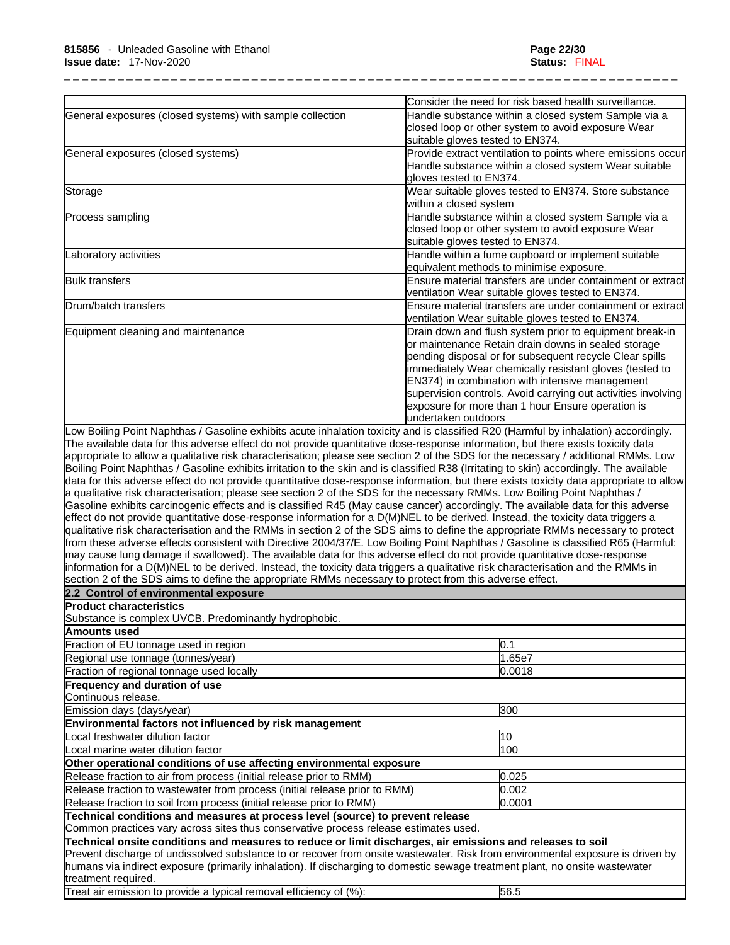|                                                                                                                                                                                                                                                                                                                                                                                                                                                                                                                                                                                                                                                                                                                                                                                                                                                                                                                                                                                                                                                                                                                                                                                                                                                                                                                                                                                                                                                                                                                                                                                                                      | Consider the need for risk based health surveillance.                                                                                                                                                                                                                                                                                                                                                                                |
|----------------------------------------------------------------------------------------------------------------------------------------------------------------------------------------------------------------------------------------------------------------------------------------------------------------------------------------------------------------------------------------------------------------------------------------------------------------------------------------------------------------------------------------------------------------------------------------------------------------------------------------------------------------------------------------------------------------------------------------------------------------------------------------------------------------------------------------------------------------------------------------------------------------------------------------------------------------------------------------------------------------------------------------------------------------------------------------------------------------------------------------------------------------------------------------------------------------------------------------------------------------------------------------------------------------------------------------------------------------------------------------------------------------------------------------------------------------------------------------------------------------------------------------------------------------------------------------------------------------------|--------------------------------------------------------------------------------------------------------------------------------------------------------------------------------------------------------------------------------------------------------------------------------------------------------------------------------------------------------------------------------------------------------------------------------------|
| General exposures (closed systems) with sample collection                                                                                                                                                                                                                                                                                                                                                                                                                                                                                                                                                                                                                                                                                                                                                                                                                                                                                                                                                                                                                                                                                                                                                                                                                                                                                                                                                                                                                                                                                                                                                            | Handle substance within a closed system Sample via a<br>closed loop or other system to avoid exposure Wear<br>suitable gloves tested to EN374.                                                                                                                                                                                                                                                                                       |
| General exposures (closed systems)                                                                                                                                                                                                                                                                                                                                                                                                                                                                                                                                                                                                                                                                                                                                                                                                                                                                                                                                                                                                                                                                                                                                                                                                                                                                                                                                                                                                                                                                                                                                                                                   | Provide extract ventilation to points where emissions occur<br>Handle substance within a closed system Wear suitable                                                                                                                                                                                                                                                                                                                 |
|                                                                                                                                                                                                                                                                                                                                                                                                                                                                                                                                                                                                                                                                                                                                                                                                                                                                                                                                                                                                                                                                                                                                                                                                                                                                                                                                                                                                                                                                                                                                                                                                                      | gloves tested to EN374.                                                                                                                                                                                                                                                                                                                                                                                                              |
| Storage                                                                                                                                                                                                                                                                                                                                                                                                                                                                                                                                                                                                                                                                                                                                                                                                                                                                                                                                                                                                                                                                                                                                                                                                                                                                                                                                                                                                                                                                                                                                                                                                              | Wear suitable gloves tested to EN374. Store substance<br>within a closed system                                                                                                                                                                                                                                                                                                                                                      |
| Process sampling                                                                                                                                                                                                                                                                                                                                                                                                                                                                                                                                                                                                                                                                                                                                                                                                                                                                                                                                                                                                                                                                                                                                                                                                                                                                                                                                                                                                                                                                                                                                                                                                     | Handle substance within a closed system Sample via a<br>closed loop or other system to avoid exposure Wear<br>suitable gloves tested to EN374.                                                                                                                                                                                                                                                                                       |
| Laboratory activities                                                                                                                                                                                                                                                                                                                                                                                                                                                                                                                                                                                                                                                                                                                                                                                                                                                                                                                                                                                                                                                                                                                                                                                                                                                                                                                                                                                                                                                                                                                                                                                                | Handle within a fume cupboard or implement suitable<br>equivalent methods to minimise exposure.                                                                                                                                                                                                                                                                                                                                      |
| <b>Bulk transfers</b>                                                                                                                                                                                                                                                                                                                                                                                                                                                                                                                                                                                                                                                                                                                                                                                                                                                                                                                                                                                                                                                                                                                                                                                                                                                                                                                                                                                                                                                                                                                                                                                                | Ensure material transfers are under containment or extract<br>ventilation Wear suitable gloves tested to EN374.                                                                                                                                                                                                                                                                                                                      |
| Drum/batch transfers                                                                                                                                                                                                                                                                                                                                                                                                                                                                                                                                                                                                                                                                                                                                                                                                                                                                                                                                                                                                                                                                                                                                                                                                                                                                                                                                                                                                                                                                                                                                                                                                 | Ensure material transfers are under containment or extract<br>ventilation Wear suitable gloves tested to EN374.                                                                                                                                                                                                                                                                                                                      |
| Equipment cleaning and maintenance                                                                                                                                                                                                                                                                                                                                                                                                                                                                                                                                                                                                                                                                                                                                                                                                                                                                                                                                                                                                                                                                                                                                                                                                                                                                                                                                                                                                                                                                                                                                                                                   | Drain down and flush system prior to equipment break-in<br>or maintenance Retain drain downs in sealed storage<br>pending disposal or for subsequent recycle Clear spills<br>immediately Wear chemically resistant gloves (tested to<br>EN374) in combination with intensive management<br>supervision controls. Avoid carrying out activities involving<br>exposure for more than 1 hour Ensure operation is<br>undertaken outdoors |
| The available data for this adverse effect do not provide quantitative dose-response information, but there exists toxicity data<br>appropriate to allow a qualitative risk characterisation; please see section 2 of the SDS for the necessary / additional RMMs. Low<br>Boiling Point Naphthas / Gasoline exhibits irritation to the skin and is classified R38 (Irritating to skin) accordingly. The available<br>data for this adverse effect do not provide quantitative dose-response information, but there exists toxicity data appropriate to allow<br>a qualitative risk characterisation; please see section 2 of the SDS for the necessary RMMs. Low Boiling Point Naphthas /<br>Gasoline exhibits carcinogenic effects and is classified R45 (May cause cancer) accordingly. The available data for this adverse<br>effect do not provide quantitative dose-response information for a D(M)NEL to be derived. Instead, the toxicity data triggers a<br>qualitative risk characterisation and the RMMs in section 2 of the SDS aims to define the appropriate RMMs necessary to protect<br>from these adverse effects consistent with Directive 2004/37/E. Low Boiling Point Naphthas / Gasoline is classified R65 (Harmful:<br>may cause lung damage if swallowed). The available data for this adverse effect do not provide quantitative dose-response<br>information for a D(M)NEL to be derived. Instead, the toxicity data triggers a qualitative risk characterisation and the RMMs in<br>section 2 of the SDS aims to define the appropriate RMMs necessary to protect from this adverse effect. |                                                                                                                                                                                                                                                                                                                                                                                                                                      |
| 2.2 Control of environmental exposure                                                                                                                                                                                                                                                                                                                                                                                                                                                                                                                                                                                                                                                                                                                                                                                                                                                                                                                                                                                                                                                                                                                                                                                                                                                                                                                                                                                                                                                                                                                                                                                |                                                                                                                                                                                                                                                                                                                                                                                                                                      |
| <b>Product characteristics</b>                                                                                                                                                                                                                                                                                                                                                                                                                                                                                                                                                                                                                                                                                                                                                                                                                                                                                                                                                                                                                                                                                                                                                                                                                                                                                                                                                                                                                                                                                                                                                                                       |                                                                                                                                                                                                                                                                                                                                                                                                                                      |
| Substance is complex UVCB. Predominantly hydrophobic.                                                                                                                                                                                                                                                                                                                                                                                                                                                                                                                                                                                                                                                                                                                                                                                                                                                                                                                                                                                                                                                                                                                                                                                                                                                                                                                                                                                                                                                                                                                                                                |                                                                                                                                                                                                                                                                                                                                                                                                                                      |
| Amounts used                                                                                                                                                                                                                                                                                                                                                                                                                                                                                                                                                                                                                                                                                                                                                                                                                                                                                                                                                                                                                                                                                                                                                                                                                                                                                                                                                                                                                                                                                                                                                                                                         |                                                                                                                                                                                                                                                                                                                                                                                                                                      |
| Fraction of EU tonnage used in region                                                                                                                                                                                                                                                                                                                                                                                                                                                                                                                                                                                                                                                                                                                                                                                                                                                                                                                                                                                                                                                                                                                                                                                                                                                                                                                                                                                                                                                                                                                                                                                | 0.1                                                                                                                                                                                                                                                                                                                                                                                                                                  |
| Regional use tonnage (tonnes/year)                                                                                                                                                                                                                                                                                                                                                                                                                                                                                                                                                                                                                                                                                                                                                                                                                                                                                                                                                                                                                                                                                                                                                                                                                                                                                                                                                                                                                                                                                                                                                                                   | 1.65e7                                                                                                                                                                                                                                                                                                                                                                                                                               |
| Fraction of regional tonnage used locally                                                                                                                                                                                                                                                                                                                                                                                                                                                                                                                                                                                                                                                                                                                                                                                                                                                                                                                                                                                                                                                                                                                                                                                                                                                                                                                                                                                                                                                                                                                                                                            | 0.0018                                                                                                                                                                                                                                                                                                                                                                                                                               |
| Frequency and duration of use<br>Continuous release.                                                                                                                                                                                                                                                                                                                                                                                                                                                                                                                                                                                                                                                                                                                                                                                                                                                                                                                                                                                                                                                                                                                                                                                                                                                                                                                                                                                                                                                                                                                                                                 |                                                                                                                                                                                                                                                                                                                                                                                                                                      |
| Emission days (days/year)                                                                                                                                                                                                                                                                                                                                                                                                                                                                                                                                                                                                                                                                                                                                                                                                                                                                                                                                                                                                                                                                                                                                                                                                                                                                                                                                                                                                                                                                                                                                                                                            | 300                                                                                                                                                                                                                                                                                                                                                                                                                                  |
|                                                                                                                                                                                                                                                                                                                                                                                                                                                                                                                                                                                                                                                                                                                                                                                                                                                                                                                                                                                                                                                                                                                                                                                                                                                                                                                                                                                                                                                                                                                                                                                                                      |                                                                                                                                                                                                                                                                                                                                                                                                                                      |
| Environmental factors not influenced by risk management<br>Local freshwater dilution factor                                                                                                                                                                                                                                                                                                                                                                                                                                                                                                                                                                                                                                                                                                                                                                                                                                                                                                                                                                                                                                                                                                                                                                                                                                                                                                                                                                                                                                                                                                                          | 10                                                                                                                                                                                                                                                                                                                                                                                                                                   |
| Local marine water dilution factor                                                                                                                                                                                                                                                                                                                                                                                                                                                                                                                                                                                                                                                                                                                                                                                                                                                                                                                                                                                                                                                                                                                                                                                                                                                                                                                                                                                                                                                                                                                                                                                   | 100                                                                                                                                                                                                                                                                                                                                                                                                                                  |
|                                                                                                                                                                                                                                                                                                                                                                                                                                                                                                                                                                                                                                                                                                                                                                                                                                                                                                                                                                                                                                                                                                                                                                                                                                                                                                                                                                                                                                                                                                                                                                                                                      |                                                                                                                                                                                                                                                                                                                                                                                                                                      |
| Other operational conditions of use affecting environmental exposure                                                                                                                                                                                                                                                                                                                                                                                                                                                                                                                                                                                                                                                                                                                                                                                                                                                                                                                                                                                                                                                                                                                                                                                                                                                                                                                                                                                                                                                                                                                                                 |                                                                                                                                                                                                                                                                                                                                                                                                                                      |
| Release fraction to air from process (initial release prior to RMM)                                                                                                                                                                                                                                                                                                                                                                                                                                                                                                                                                                                                                                                                                                                                                                                                                                                                                                                                                                                                                                                                                                                                                                                                                                                                                                                                                                                                                                                                                                                                                  | 0.025                                                                                                                                                                                                                                                                                                                                                                                                                                |
| Release fraction to wastewater from process (initial release prior to RMM)                                                                                                                                                                                                                                                                                                                                                                                                                                                                                                                                                                                                                                                                                                                                                                                                                                                                                                                                                                                                                                                                                                                                                                                                                                                                                                                                                                                                                                                                                                                                           | 0.002                                                                                                                                                                                                                                                                                                                                                                                                                                |

Release fraction to soil from process (initial release prior to RMM)  $0.0001$ 

**Technical conditions and measures at process level (source) to prevent release**

Common practices vary across sites thus conservative process release estimates used.

**Technical onsite conditions and measures to reduce or limit discharges, air emissions and releases to soil**

Prevent discharge of undissolved substance to or recover from onsite wastewater. Risk from environmental exposure is driven by humans via indirect exposure (primarily inhalation). If discharging to domestic sewage treatment plant, no onsite wastewater treatment required.

Treat air emission to provide a typical removal efficiency of (%): 56.5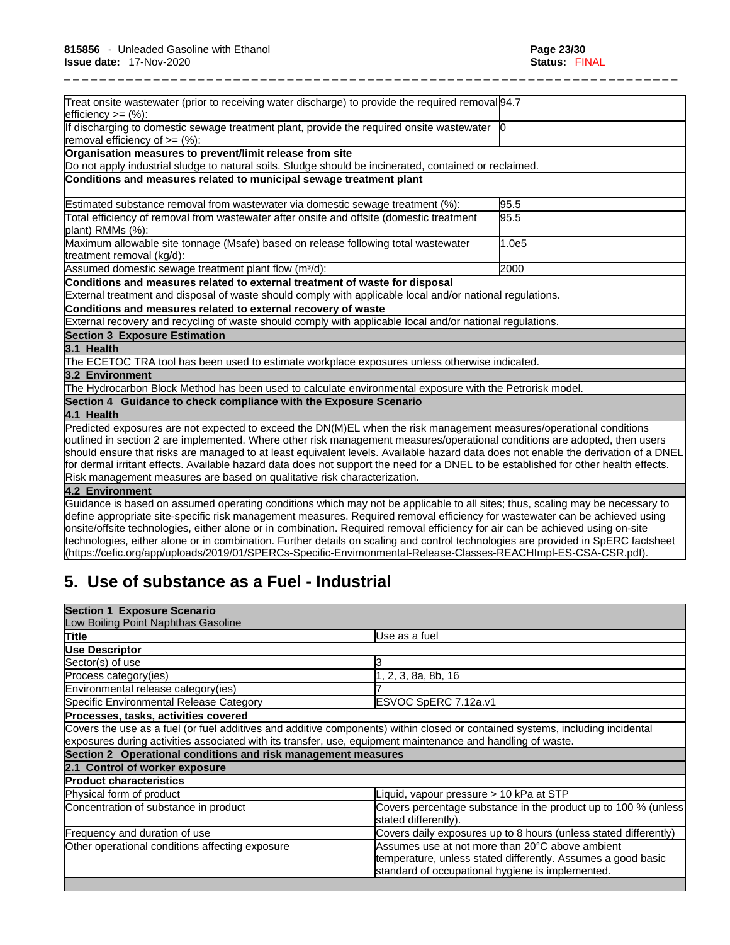| Treat onsite wastewater (prior to receiving water discharge) to provide the required removal 94.7<br> efficiency >= (%):             |       |
|--------------------------------------------------------------------------------------------------------------------------------------|-------|
| If discharging to domestic sewage treatment plant, provide the required onsite wastewater   0<br>removal efficiency of $\geq=(\%)$ : |       |
| Organisation measures to prevent/limit release from site                                                                             |       |
| Do not apply industrial sludge to natural soils. Sludge should be incinerated, contained or reclaimed.                               |       |
| Conditions and measures related to municipal sewage treatment plant                                                                  |       |
| Estimated substance removal from wastewater via domestic sewage treatment (%):                                                       | 95.5  |
| Total efficiency of removal from wastewater after onsite and offsite (domestic treatment<br>plant) RMMs (%):                         | 95.5  |
| Maximum allowable site tonnage (Msafe) based on release following total wastewater<br>treatment removal (kg/d):                      | 1.0e5 |
| Assumed domestic sewage treatment plant flow (m <sup>3</sup> /d):                                                                    | 2000  |
| Conditions and measures related to external treatment of waste for disposal                                                          |       |
| External treatment and disposal of waste should comply with applicable local and/or national regulations.                            |       |
| Conditions and measures related to external recovery of waste                                                                        |       |
| External recovery and recycling of waste should comply with applicable local and/or national regulations.                            |       |
| <b>Section 3 Exposure Estimation</b>                                                                                                 |       |
| 3.1 Health                                                                                                                           |       |
| The ECETOC TRA tool has been used to estimate workplace exposures unless otherwise indicated.                                        |       |
| 3.2 Environment                                                                                                                      |       |
| The Hydrocarbon Block Method has been used to calculate environmental exposure with the Petrorisk model.                             |       |
| Section 4 Guidance to check compliance with the Exposure Scenario                                                                    |       |
| 4.1 Health                                                                                                                           |       |
| Predicted exposures are not expected to exceed the DN(M)EL when the risk management measures/operational conditions                  |       |
| outlined in section 2 are implemented. Where other risk management measures/operational conditions are adopted, then users           |       |
| should ensure that risks are managed to at least equivalent levels. Available hazard data does not enable the derivation of a DNEL   |       |
| for dermal irritant effects. Available hazard data does not support the need for a DNEL to be established for other health effects.  |       |
| Risk management measures are based on qualitative risk characterization.                                                             |       |
| 4.2 Environment                                                                                                                      |       |
| Guidance is based on assumed operating conditions which may not be applicable to all sites; thus, scaling may be necessary to        |       |
| define appropriate site-specific risk management measures. Required removal efficiency for wastewater can be achieved using          |       |
| onsite/offsite technologies, either alone or in combination. Required removal efficiency for air can be achieved using on-site       |       |

onsite/offsite technologies, either alone or in combination. Required removal efficiency for air can be achieved using on-site technologies, either alone or in combination. Further details on scaling and control technologies are provided in SpERC factsheet (https://cefic.org/app/uploads/2019/01/SPERCs-Specific-Envirnonmental-Release-Classes-REACHImpl-ES-CSA-CSR.pdf).

# **5. Use of substance as a Fuel - Industrial**

| <b>Section 1 Exposure Scenario</b>                                                                          |                                                                                                                                                                     |
|-------------------------------------------------------------------------------------------------------------|---------------------------------------------------------------------------------------------------------------------------------------------------------------------|
| Low Boiling Point Naphthas Gasoline                                                                         |                                                                                                                                                                     |
| Title                                                                                                       | Use as a fuel                                                                                                                                                       |
| <b>Use Descriptor</b>                                                                                       |                                                                                                                                                                     |
| Sector(s) of use                                                                                            |                                                                                                                                                                     |
| Process category(ies)                                                                                       | , 2, 3, 8a, 8b, 16                                                                                                                                                  |
| Environmental release category(ies)                                                                         |                                                                                                                                                                     |
| Specific Environmental Release Category                                                                     | ESVOC SpERC 7.12a.v1                                                                                                                                                |
| Processes, tasks, activities covered                                                                        |                                                                                                                                                                     |
| exposures during activities associated with its transfer, use, equipment maintenance and handling of waste. | Covers the use as a fuel (or fuel additives and additive components) within closed or contained systems, including incidental                                       |
| Section 2 Operational conditions and risk management measures                                               |                                                                                                                                                                     |
| 2.1 Control of worker exposure                                                                              |                                                                                                                                                                     |
| <b>Product characteristics</b>                                                                              |                                                                                                                                                                     |
| Physical form of product                                                                                    | Liquid, vapour pressure > 10 kPa at STP                                                                                                                             |
| Concentration of substance in product                                                                       | Covers percentage substance in the product up to 100 % (unless<br>stated differently).                                                                              |
| Frequency and duration of use                                                                               | Covers daily exposures up to 8 hours (unless stated differently)                                                                                                    |
| Other operational conditions affecting exposure                                                             | Assumes use at not more than 20°C above ambient<br>temperature, unless stated differently. Assumes a good basic<br>standard of occupational hygiene is implemented. |
|                                                                                                             |                                                                                                                                                                     |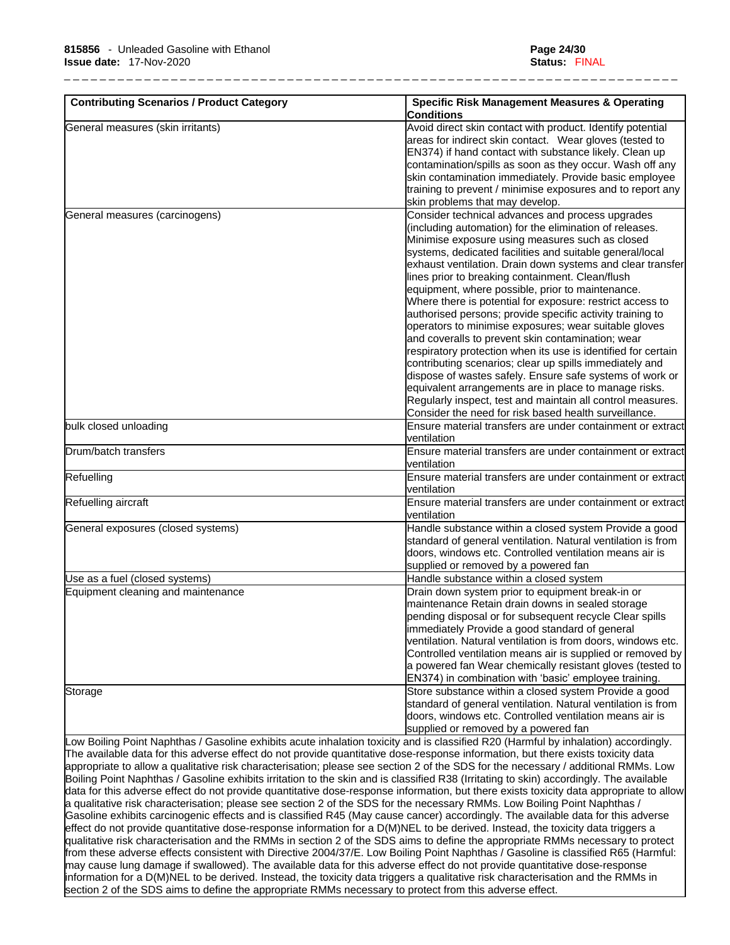| <b>Contributing Scenarios / Product Category</b> | <b>Specific Risk Management Measures &amp; Operating</b><br><b>Conditions</b>                                                                                                                                                                                                                                                                                                                                                                                                                                                                                                                                                                                    |
|--------------------------------------------------|------------------------------------------------------------------------------------------------------------------------------------------------------------------------------------------------------------------------------------------------------------------------------------------------------------------------------------------------------------------------------------------------------------------------------------------------------------------------------------------------------------------------------------------------------------------------------------------------------------------------------------------------------------------|
| General measures (skin irritants)                | Avoid direct skin contact with product. Identify potential<br>areas for indirect skin contact. Wear gloves (tested to<br>EN374) if hand contact with substance likely. Clean up<br>contamination/spills as soon as they occur. Wash off any<br>skin contamination immediately. Provide basic employee                                                                                                                                                                                                                                                                                                                                                            |
|                                                  | training to prevent / minimise exposures and to report any<br>skin problems that may develop.                                                                                                                                                                                                                                                                                                                                                                                                                                                                                                                                                                    |
| General measures (carcinogens)                   | Consider technical advances and process upgrades<br>(including automation) for the elimination of releases.<br>Minimise exposure using measures such as closed<br>systems, dedicated facilities and suitable general/local<br>exhaust ventilation. Drain down systems and clear transfer<br>lines prior to breaking containment. Clean/flush                                                                                                                                                                                                                                                                                                                     |
|                                                  | equipment, where possible, prior to maintenance.<br>Where there is potential for exposure: restrict access to<br>authorised persons; provide specific activity training to<br>operators to minimise exposures; wear suitable gloves<br>and coveralls to prevent skin contamination; wear<br>respiratory protection when its use is identified for certain<br>contributing scenarios; clear up spills immediately and<br>dispose of wastes safely. Ensure safe systems of work or<br>equivalent arrangements are in place to manage risks.<br>Regularly inspect, test and maintain all control measures.<br>Consider the need for risk based health surveillance. |
| bulk closed unloading                            | Ensure material transfers are under containment or extract<br>ventilation                                                                                                                                                                                                                                                                                                                                                                                                                                                                                                                                                                                        |
| Drum/batch transfers                             | Ensure material transfers are under containment or extract<br>ventilation                                                                                                                                                                                                                                                                                                                                                                                                                                                                                                                                                                                        |
| Refuelling                                       | Ensure material transfers are under containment or extract<br>ventilation                                                                                                                                                                                                                                                                                                                                                                                                                                                                                                                                                                                        |
| Refuelling aircraft                              | Ensure material transfers are under containment or extract<br>ventilation                                                                                                                                                                                                                                                                                                                                                                                                                                                                                                                                                                                        |
| General exposures (closed systems)               | Handle substance within a closed system Provide a good<br>standard of general ventilation. Natural ventilation is from<br>doors, windows etc. Controlled ventilation means air is<br>supplied or removed by a powered fan                                                                                                                                                                                                                                                                                                                                                                                                                                        |
| Use as a fuel (closed systems)                   | Handle substance within a closed system                                                                                                                                                                                                                                                                                                                                                                                                                                                                                                                                                                                                                          |
| Equipment cleaning and maintenance               | Drain down system prior to equipment break-in or<br>maintenance Retain drain downs in sealed storage<br>pending disposal or for subsequent recycle Clear spills<br>immediately Provide a good standard of general<br>ventilation. Natural ventilation is from doors, windows etc.<br>Controlled ventilation means air is supplied or removed by<br>a powered fan Wear chemically resistant gloves (tested to<br>EN374) in combination with 'basic' employee training.                                                                                                                                                                                            |
| Storage                                          | Store substance within a closed system Provide a good<br>standard of general ventilation. Natural ventilation is from<br>doors, windows etc. Controlled ventilation means air is<br>supplied or removed by a powered fan                                                                                                                                                                                                                                                                                                                                                                                                                                         |

Low Boiling Point Naphthas / Gasoline exhibits acute inhalation toxicity and is classified R20 (Harmful by inhalation) accordingly. The available data for this adverse effect do not provide quantitative dose-response information, but there exists toxicity data appropriate to allow a qualitative risk characterisation; please see section 2 of the SDS for the necessary / additional RMMs. Low Boiling Point Naphthas / Gasoline exhibits irritation to the skin and is classified R38 (Irritating to skin) accordingly. The available data for this adverse effect do not provide quantitative dose-response information, but there exists toxicity data appropriate to allow a qualitative risk characterisation; please see section 2 of the SDS for the necessary RMMs. Low Boiling Point Naphthas / Gasoline exhibits carcinogenic effects and is classified R45 (May cause cancer) accordingly. The available data for this adverse effect do not provide quantitative dose-response information for a D(M)NEL to be derived. Instead, the toxicity data triggers a qualitative risk characterisation and the RMMs in section 2 of the SDS aims to define the appropriate RMMs necessary to protect from these adverse effects consistent with Directive 2004/37/E. Low Boiling Point Naphthas / Gasoline is classified R65 (Harmful: may cause lung damage if swallowed). The available data for this adverse effect do not provide quantitative dose-response information for a D(M)NEL to be derived. Instead, the toxicity data triggers a qualitative risk characterisation and the RMMs in section 2 of the SDS aims to define the appropriate RMMs necessary to protect from this adverse effect.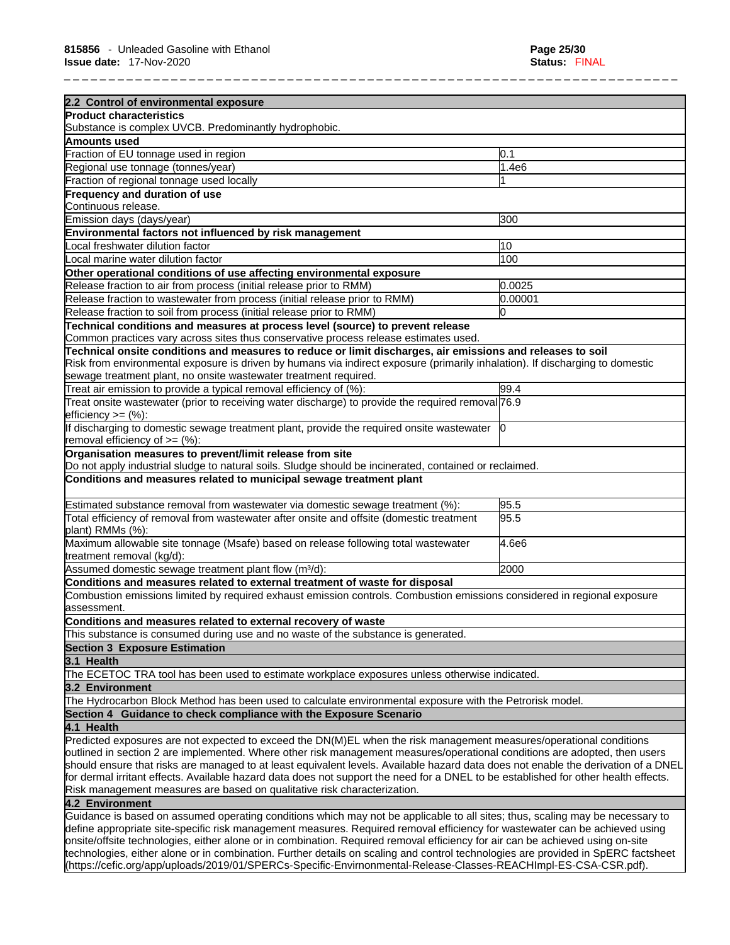| 2.2 Control of environmental exposure                                                                                                                                                                                                                         |         |
|---------------------------------------------------------------------------------------------------------------------------------------------------------------------------------------------------------------------------------------------------------------|---------|
| <b>Product characteristics</b>                                                                                                                                                                                                                                |         |
| Substance is complex UVCB. Predominantly hydrophobic.                                                                                                                                                                                                         |         |
| Amounts used                                                                                                                                                                                                                                                  |         |
| Fraction of EU tonnage used in region                                                                                                                                                                                                                         | 0.1     |
| Regional use tonnage (tonnes/year)                                                                                                                                                                                                                            | 1.4e6   |
| Fraction of regional tonnage used locally                                                                                                                                                                                                                     |         |
| Frequency and duration of use                                                                                                                                                                                                                                 |         |
| Continuous release.                                                                                                                                                                                                                                           |         |
| Emission days (days/year)                                                                                                                                                                                                                                     | 300     |
| Environmental factors not influenced by risk management                                                                                                                                                                                                       |         |
| Local freshwater dilution factor                                                                                                                                                                                                                              | 10      |
| Local marine water dilution factor                                                                                                                                                                                                                            | 100     |
| Other operational conditions of use affecting environmental exposure                                                                                                                                                                                          |         |
| Release fraction to air from process (initial release prior to RMM)                                                                                                                                                                                           | 0.0025  |
| Release fraction to wastewater from process (initial release prior to RMM)                                                                                                                                                                                    | 0.00001 |
| Release fraction to soil from process (initial release prior to RMM)                                                                                                                                                                                          | 0       |
|                                                                                                                                                                                                                                                               |         |
| Technical conditions and measures at process level (source) to prevent release<br>Common practices vary across sites thus conservative process release estimates used.                                                                                        |         |
| Technical onsite conditions and measures to reduce or limit discharges, air emissions and releases to soil                                                                                                                                                    |         |
| Risk from environmental exposure is driven by humans via indirect exposure (primarily inhalation). If discharging to domestic                                                                                                                                 |         |
| sewage treatment plant, no onsite wastewater treatment required.                                                                                                                                                                                              |         |
| Treat air emission to provide a typical removal efficiency of (%):                                                                                                                                                                                            | 99.4    |
| Treat onsite wastewater (prior to receiving water discharge) to provide the required removal 76.9                                                                                                                                                             |         |
| efficiency $>=$ $(\%)$ :                                                                                                                                                                                                                                      |         |
| If discharging to domestic sewage treatment plant, provide the required onsite wastewater [0]                                                                                                                                                                 |         |
| removal efficiency of $\geq=(\%)$ :                                                                                                                                                                                                                           |         |
| Organisation measures to prevent/limit release from site                                                                                                                                                                                                      |         |
| Do not apply industrial sludge to natural soils. Sludge should be incinerated, contained or reclaimed.                                                                                                                                                        |         |
| Conditions and measures related to municipal sewage treatment plant                                                                                                                                                                                           |         |
|                                                                                                                                                                                                                                                               |         |
| Estimated substance removal from wastewater via domestic sewage treatment (%):                                                                                                                                                                                | 95.5    |
| Total efficiency of removal from wastewater after onsite and offsite (domestic treatment<br>plant) RMMs (%):                                                                                                                                                  | 95.5    |
| Maximum allowable site tonnage (Msafe) based on release following total wastewater                                                                                                                                                                            | 4.6e6   |
| treatment removal (kg/d):                                                                                                                                                                                                                                     |         |
| Assumed domestic sewage treatment plant flow (m <sup>3</sup> /d):                                                                                                                                                                                             | 2000    |
| Conditions and measures related to external treatment of waste for disposal                                                                                                                                                                                   |         |
| Combustion emissions limited by required exhaust emission controls. Combustion emissions considered in regional exposure                                                                                                                                      |         |
| lassessment.                                                                                                                                                                                                                                                  |         |
| Conditions and measures related to external recovery of waste                                                                                                                                                                                                 |         |
| This substance is consumed during use and no waste of the substance is generated.                                                                                                                                                                             |         |
| <b>Section 3 Exposure Estimation</b>                                                                                                                                                                                                                          |         |
| 3.1 Health                                                                                                                                                                                                                                                    |         |
| The ECETOC TRA tool has been used to estimate workplace exposures unless otherwise indicated.                                                                                                                                                                 |         |
| 3.2 Environment                                                                                                                                                                                                                                               |         |
| The Hydrocarbon Block Method has been used to calculate environmental exposure with the Petrorisk model.                                                                                                                                                      |         |
| Section 4 Guidance to check compliance with the Exposure Scenario                                                                                                                                                                                             |         |
| 4.1 Health                                                                                                                                                                                                                                                    |         |
| Predicted exposures are not expected to exceed the DN(M)EL when the risk management measures/operational conditions                                                                                                                                           |         |
| outlined in section 2 are implemented. Where other risk management measures/operational conditions are adopted, then users                                                                                                                                    |         |
| should ensure that risks are managed to at least equivalent levels. Available hazard data does not enable the derivation of a DNEL                                                                                                                            |         |
| for dermal irritant effects. Available hazard data does not support the need for a DNEL to be established for other health effects.                                                                                                                           |         |
| Risk management measures are based on qualitative risk characterization.                                                                                                                                                                                      |         |
| 4.2 Environment                                                                                                                                                                                                                                               |         |
| Guidance is based on assumed operating conditions which may not be applicable to all sites; thus, scaling may be necessary to                                                                                                                                 |         |
| define appropriate site-specific risk management measures. Required removal efficiency for wastewater can be achieved using<br>onsite/offsite technologies, either alone or in combination. Required removal efficiency for air can be achieved using on-site |         |
| technologies, either alone or in combination. Further details on scaling and control technologies are provided in SpERC factsheet                                                                                                                             |         |

technologies, either alone or in combination. Further details on scaling and control technologies are provided in SpERC factsheet (https://cefic.org/app/uploads/2019/01/SPERCs-Specific-Envirnonmental-Release-Classes-REACHImpl-ES-CSA-CSR.pdf).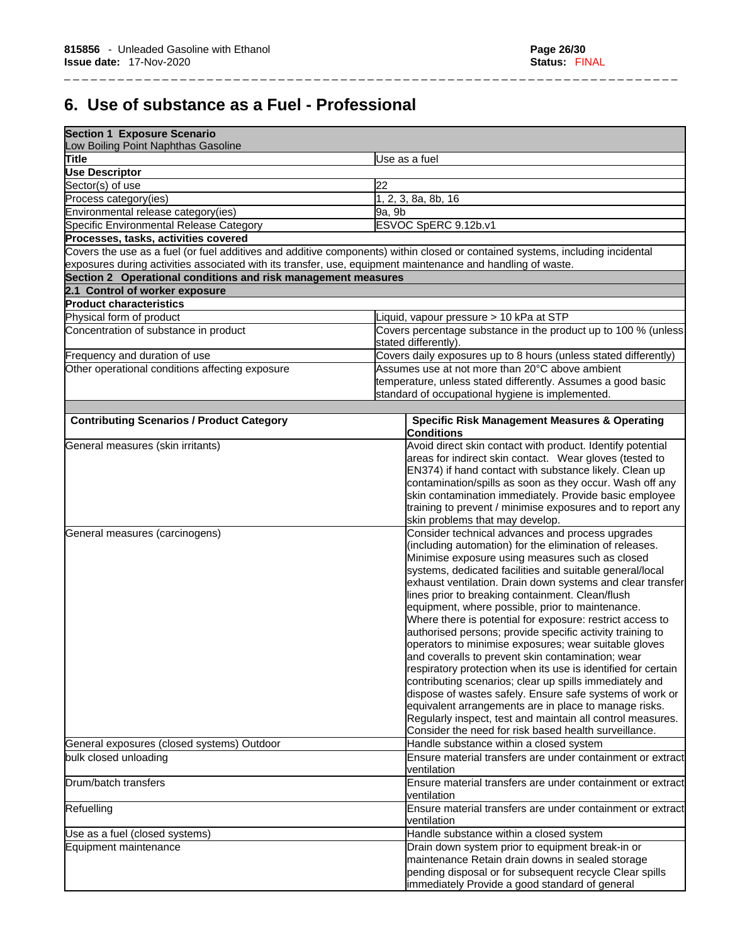# **6. Use of substance as a Fuel - Professional**

| <b>Section 1 Exposure Scenario</b><br>Low Boiling Point Naphthas Gasoline                                   |                                                                                                                               |
|-------------------------------------------------------------------------------------------------------------|-------------------------------------------------------------------------------------------------------------------------------|
| Title                                                                                                       | Use as a fuel                                                                                                                 |
| <b>Use Descriptor</b>                                                                                       |                                                                                                                               |
| Sector(s) of use                                                                                            | 22                                                                                                                            |
| Process category(ies)                                                                                       | 1, 2, 3, 8a, 8b, 16                                                                                                           |
| Environmental release category(ies)                                                                         | 9a, 9b                                                                                                                        |
| Specific Environmental Release Category                                                                     | ESVOC SpERC 9.12b.v1                                                                                                          |
| Processes, tasks, activities covered                                                                        |                                                                                                                               |
|                                                                                                             | Covers the use as a fuel (or fuel additives and additive components) within closed or contained systems, including incidental |
| exposures during activities associated with its transfer, use, equipment maintenance and handling of waste. |                                                                                                                               |
| Section 2 Operational conditions and risk management measures                                               |                                                                                                                               |
| 2.1 Control of worker exposure                                                                              |                                                                                                                               |
| <b>Product characteristics</b>                                                                              |                                                                                                                               |
| Physical form of product                                                                                    | Liquid, vapour pressure > 10 kPa at STP                                                                                       |
| Concentration of substance in product                                                                       | Covers percentage substance in the product up to 100 % (unless<br>stated differently).                                        |
| Frequency and duration of use                                                                               | Covers daily exposures up to 8 hours (unless stated differently)                                                              |
| Other operational conditions affecting exposure                                                             | Assumes use at not more than 20°C above ambient                                                                               |
|                                                                                                             | temperature, unless stated differently. Assumes a good basic                                                                  |
|                                                                                                             | standard of occupational hygiene is implemented.                                                                              |
|                                                                                                             |                                                                                                                               |
| <b>Contributing Scenarios / Product Category</b>                                                            | <b>Specific Risk Management Measures &amp; Operating</b><br><b>Conditions</b>                                                 |
| General measures (skin irritants)                                                                           | Avoid direct skin contact with product. Identify potential                                                                    |
|                                                                                                             | areas for indirect skin contact. Wear gloves (tested to                                                                       |
|                                                                                                             | EN374) if hand contact with substance likely. Clean up                                                                        |
|                                                                                                             | contamination/spills as soon as they occur. Wash off any                                                                      |
|                                                                                                             | skin contamination immediately. Provide basic employee                                                                        |
|                                                                                                             | training to prevent / minimise exposures and to report any                                                                    |
|                                                                                                             | skin problems that may develop.                                                                                               |
| General measures (carcinogens)                                                                              | Consider technical advances and process upgrades                                                                              |
|                                                                                                             | (including automation) for the elimination of releases.                                                                       |
|                                                                                                             | Minimise exposure using measures such as closed                                                                               |
|                                                                                                             | systems, dedicated facilities and suitable general/local                                                                      |
|                                                                                                             | exhaust ventilation. Drain down systems and clear transfer                                                                    |
|                                                                                                             | lines prior to breaking containment. Clean/flush                                                                              |
|                                                                                                             | equipment, where possible, prior to maintenance.                                                                              |
|                                                                                                             | Where there is potential for exposure: restrict access to                                                                     |
|                                                                                                             | authorised persons; provide specific activity training to                                                                     |
|                                                                                                             | operators to minimise exposures; wear suitable gloves                                                                         |
|                                                                                                             | land coveralls to prevent skin contamination; wear                                                                            |
|                                                                                                             | respiratory protection when its use is identified for certain                                                                 |
|                                                                                                             | contributing scenarios; clear up spills immediately and                                                                       |
|                                                                                                             | dispose of wastes safely. Ensure safe systems of work or                                                                      |
|                                                                                                             | equivalent arrangements are in place to manage risks.                                                                         |
|                                                                                                             | Regularly inspect, test and maintain all control measures.                                                                    |
|                                                                                                             | Consider the need for risk based health surveillance.                                                                         |
| General exposures (closed systems) Outdoor                                                                  | Handle substance within a closed system                                                                                       |
| bulk closed unloading                                                                                       | Ensure material transfers are under containment or extract<br>ventilation                                                     |
| Drum/batch transfers                                                                                        | Ensure material transfers are under containment or extract<br>ventilation                                                     |
| Refuelling                                                                                                  | Ensure material transfers are under containment or extract<br>ventilation                                                     |
| Use as a fuel (closed systems)                                                                              | Handle substance within a closed system                                                                                       |
| Equipment maintenance                                                                                       | Drain down system prior to equipment break-in or                                                                              |
|                                                                                                             | maintenance Retain drain downs in sealed storage                                                                              |
|                                                                                                             | pending disposal or for subsequent recycle Clear spills                                                                       |
|                                                                                                             | immediately Provide a good standard of general                                                                                |
|                                                                                                             |                                                                                                                               |

\_ \_ \_ \_ \_ \_ \_ \_ \_ \_ \_ \_ \_ \_ \_ \_ \_ \_ \_ \_ \_ \_ \_ \_ \_ \_ \_ \_ \_ \_ \_ \_ \_ \_ \_ \_ \_ \_ \_ \_ \_ \_ \_ \_ \_ \_ \_ \_ \_ \_ \_ \_ \_ \_ \_ \_ \_ \_ \_ \_ \_ \_ \_ \_ \_ \_ \_ \_ \_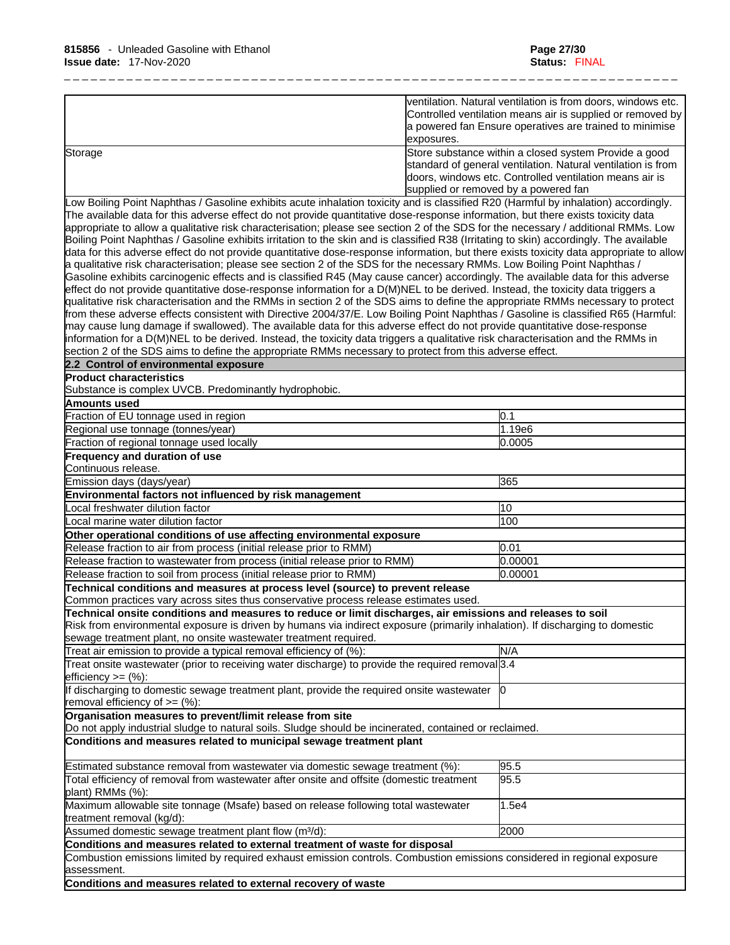|         | ventilation. Natural ventilation is from doors, windows etc.<br>Controlled ventilation means air is supplied or removed by<br>a powered fan Ensure operatives are trained to minimise |
|---------|---------------------------------------------------------------------------------------------------------------------------------------------------------------------------------------|
|         | lexposures.                                                                                                                                                                           |
| Storage | Store substance within a closed system Provide a good                                                                                                                                 |
|         | standard of general ventilation. Natural ventilation is from                                                                                                                          |
|         | doors, windows etc. Controlled ventilation means air is                                                                                                                               |
|         | supplied or removed by a powered fan                                                                                                                                                  |

Low Boiling Point Naphthas / Gasoline exhibits acute inhalation toxicity and is classified R20 (Harmful by inhalation) accordingly. The available data for this adverse effect do not provide quantitative dose-response information, but there exists toxicity data appropriate to allow a qualitative risk characterisation; please see section 2 of the SDS for the necessary / additional RMMs. Low Boiling Point Naphthas / Gasoline exhibits irritation to the skin and is classified R38 (Irritating to skin) accordingly. The available data for this adverse effect do not provide quantitative dose-response information, but there exists toxicity data appropriate to allow a qualitative risk characterisation; please see section 2 of the SDS for the necessary RMMs. Low Boiling Point Naphthas / Gasoline exhibits carcinogenic effects and is classified R45 (May cause cancer) accordingly. The available data for this adverse effect do not provide quantitative dose-response information for a D(M)NEL to be derived. Instead, the toxicity data triggers a qualitative risk characterisation and the RMMs in section 2 of the SDS aims to define the appropriate RMMs necessary to protect from these adverse effects consistent with Directive 2004/37/E. Low Boiling Point Naphthas / Gasoline is classified R65 (Harmful: may cause lung damage if swallowed). The available data for this adverse effect do not provide quantitative dose-response information for a D(M)NEL to be derived. Instead, the toxicity data triggers a qualitative risk characterisation and the RMMs in section 2 of the SDS aims to define the appropriate RMMs necessary to protect from this adverse effect.

**2.2 Control of environmental exposure** 

**Product characteristics**

Substance is complex UVCB. Predominantly hydrophobic.

| Amounts used                                                                                                                             |         |
|------------------------------------------------------------------------------------------------------------------------------------------|---------|
| Fraction of EU tonnage used in region                                                                                                    | 0.1     |
| Regional use tonnage (tonnes/year)                                                                                                       | 1.19e6  |
| Fraction of regional tonnage used locally                                                                                                | 0.0005  |
| <b>Frequency and duration of use</b>                                                                                                     |         |
| Continuous release.                                                                                                                      |         |
| Emission days (days/year)                                                                                                                | 365     |
| Environmental factors not influenced by risk management                                                                                  |         |
| ocal freshwater dilution factor                                                                                                          | 10      |
| Local marine water dilution factor                                                                                                       | 100     |
| Other operational conditions of use affecting environmental exposure                                                                     |         |
| Release fraction to air from process (initial release prior to RMM)                                                                      | 0.01    |
| Release fraction to wastewater from process (initial release prior to RMM)                                                               | 0.00001 |
| Release fraction to soil from process (initial release prior to RMM)                                                                     | 0.00001 |
| Technical conditions and measures at process level (source) to prevent release                                                           |         |
| Common practices vary across sites thus conservative process release estimates used.                                                     |         |
| Technical onsite conditions and measures to reduce or limit discharges, air emissions and releases to soil                               |         |
| Risk from environmental exposure is driven by humans via indirect exposure (primarily inhalation). If discharging to domestic            |         |
| sewage treatment plant, no onsite wastewater treatment required.                                                                         |         |
| Treat air emission to provide a typical removal efficiency of (%):                                                                       | N/A     |
| Treat onsite wastewater (prior to receiving water discharge) to provide the required removal 3.4                                         |         |
| $efficiency >= (%):$                                                                                                                     |         |
| If discharging to domestic sewage treatment plant, provide the required onsite wastewater 0<br>removal efficiency of $=$ (%):            |         |
| Organisation measures to prevent/limit release from site                                                                                 |         |
| Do not apply industrial sludge to natural soils. Sludge should be incinerated, contained or reclaimed.                                   |         |
| Conditions and measures related to municipal sewage treatment plant                                                                      |         |
| Estimated substance removal from wastewater via domestic sewage treatment (%):                                                           | 95.5    |
| Total efficiency of removal from wastewater after onsite and offsite (domestic treatment<br>plant) RMMs (%):                             | 95.5    |
| Maximum allowable site tonnage (Msafe) based on release following total wastewater<br>treatment removal (kg/d):                          | 1.5e4   |
| Assumed domestic sewage treatment plant flow (m <sup>3</sup> /d):                                                                        | 2000    |
| Conditions and measures related to external treatment of waste for disposal                                                              |         |
| Combustion emissions limited by required exhaust emission controls. Combustion emissions considered in regional exposure<br>lassessment. |         |
| Conditions and measures related to external recovery of waste                                                                            |         |
|                                                                                                                                          |         |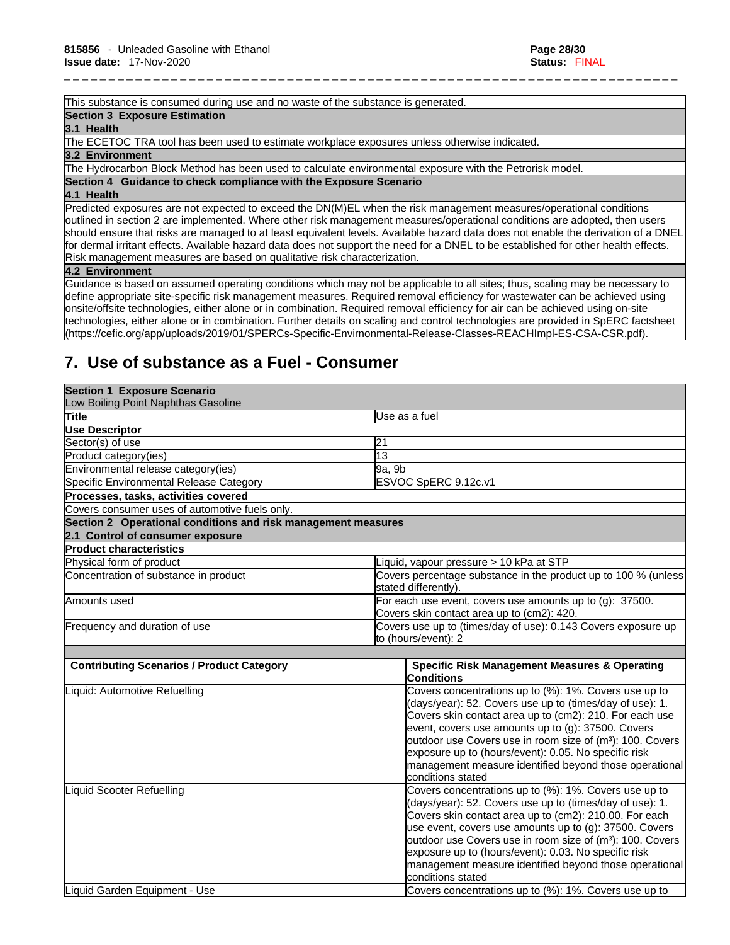This substance is consumed during use and no waste of the substance is generated.

#### **Section 3 Exposure Estimation**

**3.1 Health** 

The ECETOC TRA tool has been used to estimate workplace exposures unless otherwise indicated.

#### **3.2 Environment**

The Hydrocarbon Block Method has been used to calculate environmental exposure with the Petrorisk model.

**Section 4 Guidance to check compliance with the Exposure Scenario**

#### **4.1 Health**

Predicted exposures are not expected to exceed the DN(M)EL when the risk management measures/operational conditions outlined in section 2 are implemented. Where other risk management measures/operational conditions are adopted, then users should ensure that risks are managed to at least equivalent levels. Available hazard data does not enable the derivation of a DNEL for dermal irritant effects. Available hazard data does not support the need for a DNEL to be established for other health effects. Risk management measures are based on qualitative risk characterization.

\_ \_ \_ \_ \_ \_ \_ \_ \_ \_ \_ \_ \_ \_ \_ \_ \_ \_ \_ \_ \_ \_ \_ \_ \_ \_ \_ \_ \_ \_ \_ \_ \_ \_ \_ \_ \_ \_ \_ \_ \_ \_ \_ \_ \_ \_ \_ \_ \_ \_ \_ \_ \_ \_ \_ \_ \_ \_ \_ \_ \_ \_ \_ \_ \_ \_ \_ \_ \_

#### **4.2 Environment**

Guidance is based on assumed operating conditions which may not be applicable to all sites; thus, scaling may be necessary to define appropriate site-specific risk management measures. Required removal efficiency for wastewater can be achieved using onsite/offsite technologies, either alone or in combination. Required removal efficiency for air can be achieved using on-site technologies, either alone or in combination. Further details on scaling and control technologies are provided in SpERC factsheet (https://cefic.org/app/uploads/2019/01/SPERCs-Specific-Envirnonmental-Release-Classes-REACHImpl-ES-CSA-CSR.pdf).

# **7. Use of substance as a Fuel - Consumer**

| <b>Section 1 Exposure Scenario</b>                            |                                                                                                                                                                                                                                                                                                                                                                                                                                                                  |  |
|---------------------------------------------------------------|------------------------------------------------------------------------------------------------------------------------------------------------------------------------------------------------------------------------------------------------------------------------------------------------------------------------------------------------------------------------------------------------------------------------------------------------------------------|--|
| Low Boiling Point Naphthas Gasoline                           |                                                                                                                                                                                                                                                                                                                                                                                                                                                                  |  |
| Title                                                         | Use as a fuel                                                                                                                                                                                                                                                                                                                                                                                                                                                    |  |
| Use Descriptor                                                |                                                                                                                                                                                                                                                                                                                                                                                                                                                                  |  |
| Sector(s) of use                                              | 21                                                                                                                                                                                                                                                                                                                                                                                                                                                               |  |
| Product category(ies)                                         | $\overline{13}$                                                                                                                                                                                                                                                                                                                                                                                                                                                  |  |
| Environmental release category(ies)                           | 9a, 9b                                                                                                                                                                                                                                                                                                                                                                                                                                                           |  |
| Specific Environmental Release Category                       | ESVOC SpERC 9.12c.v1                                                                                                                                                                                                                                                                                                                                                                                                                                             |  |
| Processes, tasks, activities covered                          |                                                                                                                                                                                                                                                                                                                                                                                                                                                                  |  |
| Covers consumer uses of automotive fuels only.                |                                                                                                                                                                                                                                                                                                                                                                                                                                                                  |  |
| Section 2 Operational conditions and risk management measures |                                                                                                                                                                                                                                                                                                                                                                                                                                                                  |  |
| 2.1 Control of consumer exposure                              |                                                                                                                                                                                                                                                                                                                                                                                                                                                                  |  |
| <b>Product characteristics</b>                                |                                                                                                                                                                                                                                                                                                                                                                                                                                                                  |  |
| Physical form of product                                      | iquid, vapour pressure > 10 kPa at STP                                                                                                                                                                                                                                                                                                                                                                                                                           |  |
| Concentration of substance in product                         | Covers percentage substance in the product up to 100 % (unless<br>stated differently).                                                                                                                                                                                                                                                                                                                                                                           |  |
| Amounts used                                                  | For each use event, covers use amounts up to (g): 37500.<br>Covers skin contact area up to (cm2): 420.                                                                                                                                                                                                                                                                                                                                                           |  |
| Frequency and duration of use                                 | Covers use up to (times/day of use): 0.143 Covers exposure up<br>to (hours/event): 2                                                                                                                                                                                                                                                                                                                                                                             |  |
| <b>Contributing Scenarios / Product Category</b>              | <b>Specific Risk Management Measures &amp; Operating</b>                                                                                                                                                                                                                                                                                                                                                                                                         |  |
|                                                               | Conditions                                                                                                                                                                                                                                                                                                                                                                                                                                                       |  |
| Liquid: Automotive Refuelling                                 | Covers concentrations up to (%): 1%. Covers use up to<br>(days/year): 52. Covers use up to (times/day of use): 1.<br>Covers skin contact area up to (cm2): 210. For each use<br>event, covers use amounts up to (g): 37500. Covers<br>outdoor use Covers use in room size of (m <sup>3</sup> ): 100. Covers<br>exposure up to (hours/event): 0.05. No specific risk<br>management measure identified beyond those operational<br>conditions stated               |  |
| Liquid Scooter Refuelling                                     | Covers concentrations up to (%): 1%. Covers use up to<br>(days/year): 52. Covers use up to (times/day of use): 1.<br>Covers skin contact area up to (cm2): 210.00. For each<br>use event, covers use amounts up to $(g)$ : 37500. Covers<br>outdoor use Covers use in room size of (m <sup>3</sup> ): 100. Covers<br>exposure up to (hours/event): 0.03. No specific risk<br>management measure identified beyond those operational<br><b>c</b> onditions stated |  |
| Liquid Garden Equipment - Use                                 | Covers concentrations up to (%): 1%. Covers use up to                                                                                                                                                                                                                                                                                                                                                                                                            |  |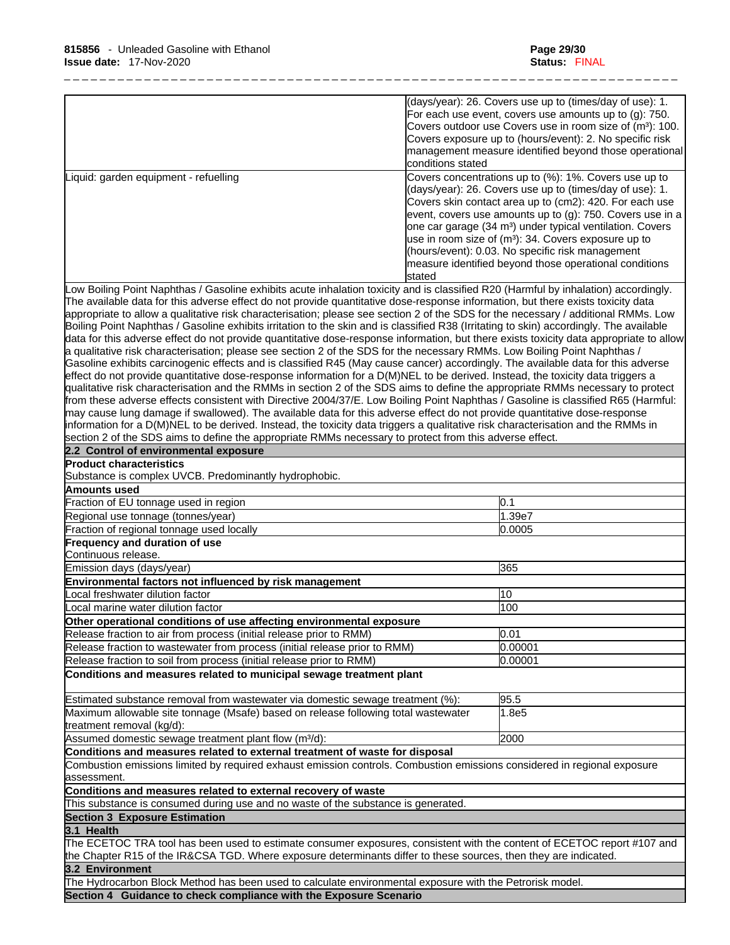|                                       | (days/year): 26. Covers use up to (times/day of use): 1.<br>For each use event, covers use amounts up to $(g)$ : 750.<br>Covers outdoor use Covers use in room size of (m <sup>3</sup> ): 100.<br>Covers exposure up to (hours/event): 2. No specific risk<br>management measure identified beyond those operational<br><b>Iconditions</b> stated                                                                                                                                                              |
|---------------------------------------|----------------------------------------------------------------------------------------------------------------------------------------------------------------------------------------------------------------------------------------------------------------------------------------------------------------------------------------------------------------------------------------------------------------------------------------------------------------------------------------------------------------|
| Liquid: garden equipment - refuelling | Covers concentrations up to (%): 1%. Covers use up to<br>$\sim$ (days/year): 26. Covers use up to (times/day of use): 1.<br>Covers skin contact area up to (cm2): 420. For each use<br>event, covers use amounts up to $(g)$ : 750. Covers use in a<br>one car garage (34 m <sup>3</sup> ) under typical ventilation. Covers<br>use in room size of $(m3)$ : 34. Covers exposure up to<br>(hours/event): 0.03. No specific risk management<br>measure identified beyond those operational conditions<br>stated |

Low Boiling Point Naphthas / Gasoline exhibits acute inhalation toxicity and is classified R20 (Harmful by inhalation) accordingly. The available data for this adverse effect do not provide quantitative dose-response information, but there exists toxicity data appropriate to allow a qualitative risk characterisation; please see section 2 of the SDS for the necessary / additional RMMs. Low Boiling Point Naphthas / Gasoline exhibits irritation to the skin and is classified R38 (Irritating to skin) accordingly. The available data for this adverse effect do not provide quantitative dose-response information, but there exists toxicity data appropriate to allow a qualitative risk characterisation; please see section 2 of the SDS for the necessary RMMs. Low Boiling Point Naphthas / Gasoline exhibits carcinogenic effects and is classified R45 (May cause cancer) accordingly. The available data for this adverse effect do not provide quantitative dose-response information for a D(M)NEL to be derived. Instead, the toxicity data triggers a qualitative risk characterisation and the RMMs in section 2 of the SDS aims to define the appropriate RMMs necessary to protect from these adverse effects consistent with Directive 2004/37/E. Low Boiling Point Naphthas / Gasoline is classified R65 (Harmful: may cause lung damage if swallowed). The available data for this adverse effect do not provide quantitative dose-response information for a D(M)NEL to be derived. Instead, the toxicity data triggers a qualitative risk characterisation and the RMMs in section 2 of the SDS aims to define the appropriate RMMs necessary to protect from this adverse effect.

| 2.2 Control of environmental exposure                                                                                                    |         |
|------------------------------------------------------------------------------------------------------------------------------------------|---------|
| <b>Product characteristics</b>                                                                                                           |         |
| Substance is complex UVCB. Predominantly hydrophobic.                                                                                    |         |
| Amounts used                                                                                                                             |         |
| Fraction of EU tonnage used in region                                                                                                    | 0.1     |
| Regional use tonnage (tonnes/year)                                                                                                       | 1.39e7  |
| Fraction of regional tonnage used locally                                                                                                | 0.0005  |
| Frequency and duration of use                                                                                                            |         |
| lContinuous release.                                                                                                                     |         |
| Emission days (days/year)                                                                                                                | 365     |
| Environmental factors not influenced by risk management                                                                                  |         |
| Local freshwater dilution factor                                                                                                         | 10      |
| Local marine water dilution factor                                                                                                       | 100     |
| Other operational conditions of use affecting environmental exposure                                                                     |         |
| Release fraction to air from process (initial release prior to RMM)                                                                      | 0.01    |
| Release fraction to wastewater from process (initial release prior to RMM)                                                               | 0.00001 |
| Release fraction to soil from process (initial release prior to RMM)                                                                     | 0.00001 |
| Conditions and measures related to municipal sewage treatment plant                                                                      |         |
| Estimated substance removal from wastewater via domestic sewage treatment (%):                                                           | 95.5    |
| Maximum allowable site tonnage (Msafe) based on release following total wastewater<br>treatment removal (kg/d):                          | 1.8e5   |
| Assumed domestic sewage treatment plant flow (m <sup>3</sup> /d):                                                                        | 2000    |
| Conditions and measures related to external treatment of waste for disposal                                                              |         |
| Combustion emissions limited by required exhaust emission controls. Combustion emissions considered in regional exposure<br>lassessment. |         |
| Conditions and measures related to external recovery of waste                                                                            |         |
| This substance is consumed during use and no waste of the substance is generated.                                                        |         |
| <b>Section 3 Exposure Estimation</b>                                                                                                     |         |
| 3.1 Health                                                                                                                               |         |
| The ECETOC TRA tool has been used to estimate consumer exposures, consistent with the content of ECETOC report #107 and                  |         |
| the Chapter R15 of the IR&CSA TGD. Where exposure determinants differ to these sources, then they are indicated.                         |         |
| 3.2 Environment                                                                                                                          |         |
| The Hydrocarbon Block Method has been used to calculate environmental exposure with the Petrorisk model.                                 |         |
| Section 4 Guidance to check compliance with the Exposure Scenario                                                                        |         |
|                                                                                                                                          |         |